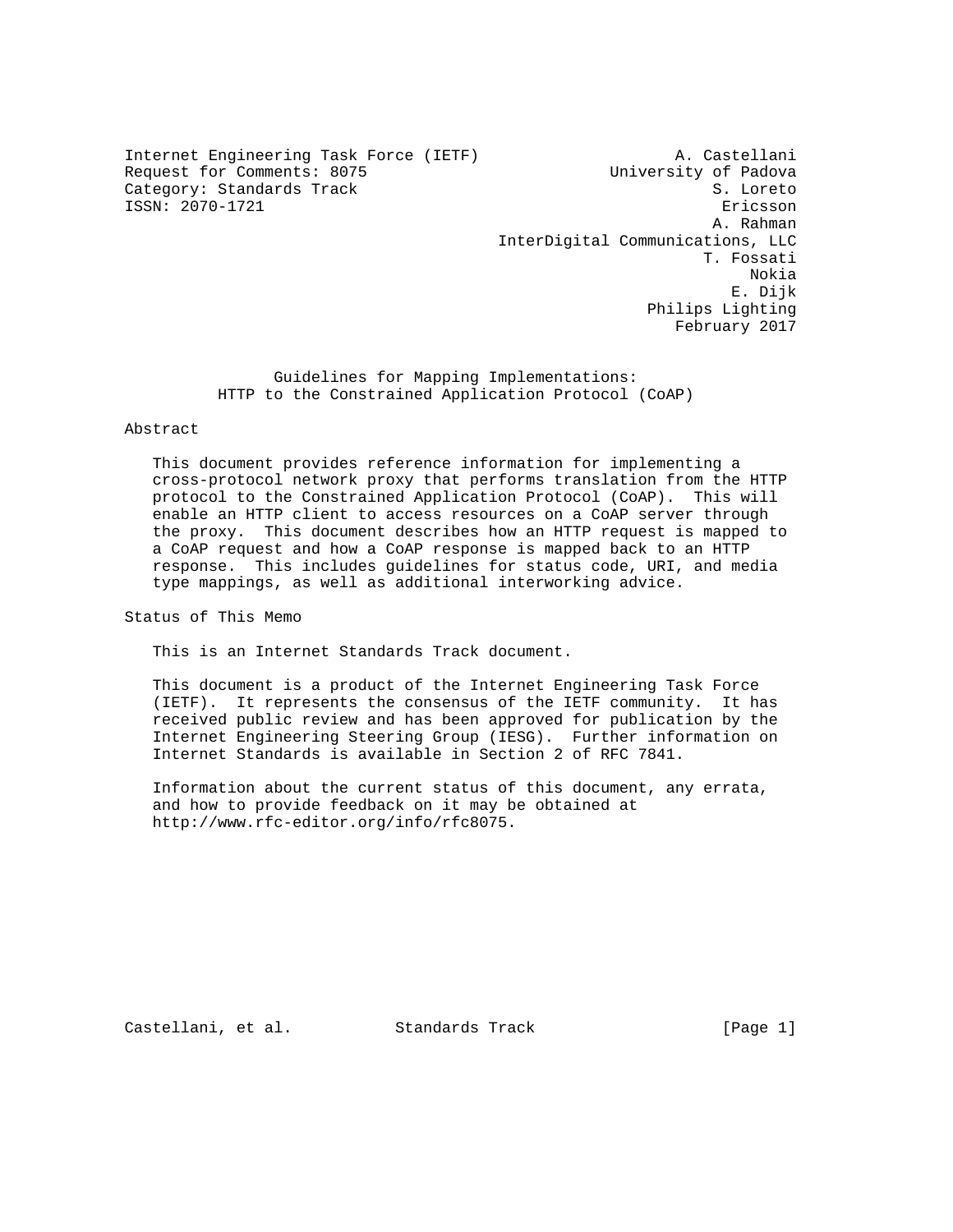Internet Engineering Task Force (IETF) A. Castellani Request for Comments: 8075 University of Padova Category: Standards Track S. Loreto ISSN: 2070-1721 Ericsson

 A. Rahman InterDigital Communications, LLC T. Fossati Nokia E. Dijk Philips Lighting February 2017

> Guidelines for Mapping Implementations: HTTP to the Constrained Application Protocol (CoAP)

### Abstract

 This document provides reference information for implementing a cross-protocol network proxy that performs translation from the HTTP protocol to the Constrained Application Protocol (CoAP). This will enable an HTTP client to access resources on a CoAP server through the proxy. This document describes how an HTTP request is mapped to a CoAP request and how a CoAP response is mapped back to an HTTP response. This includes guidelines for status code, URI, and media type mappings, as well as additional interworking advice.

Status of This Memo

This is an Internet Standards Track document.

 This document is a product of the Internet Engineering Task Force (IETF). It represents the consensus of the IETF community. It has received public review and has been approved for publication by the Internet Engineering Steering Group (IESG). Further information on Internet Standards is available in Section 2 of RFC 7841.

 Information about the current status of this document, any errata, and how to provide feedback on it may be obtained at http://www.rfc-editor.org/info/rfc8075.

Castellani, et al. Standards Track [Page 1]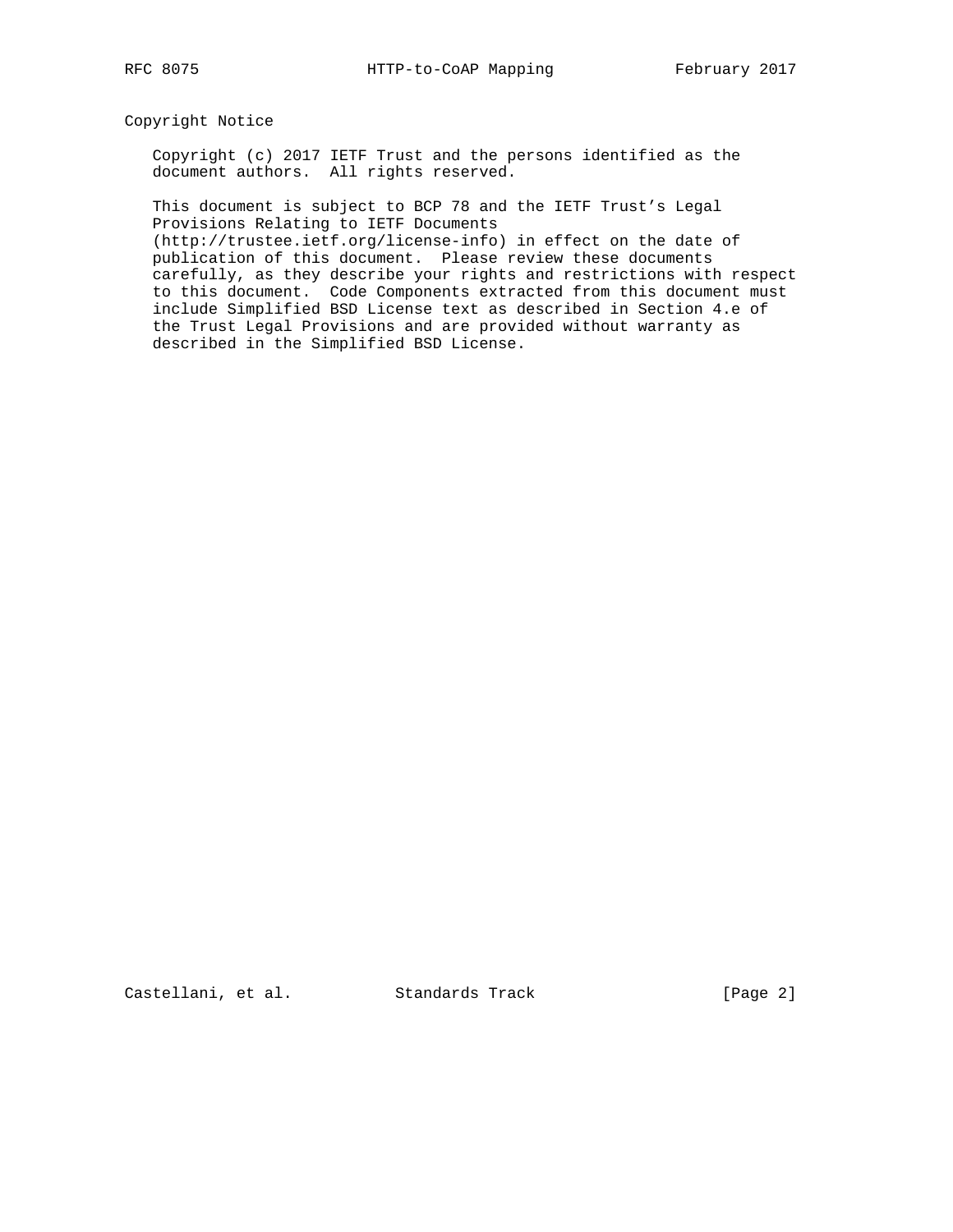## Copyright Notice

 Copyright (c) 2017 IETF Trust and the persons identified as the document authors. All rights reserved.

 This document is subject to BCP 78 and the IETF Trust's Legal Provisions Relating to IETF Documents

 (http://trustee.ietf.org/license-info) in effect on the date of publication of this document. Please review these documents carefully, as they describe your rights and restrictions with respect to this document. Code Components extracted from this document must include Simplified BSD License text as described in Section 4.e of the Trust Legal Provisions and are provided without warranty as described in the Simplified BSD License.

Castellani, et al. Standards Track [Page 2]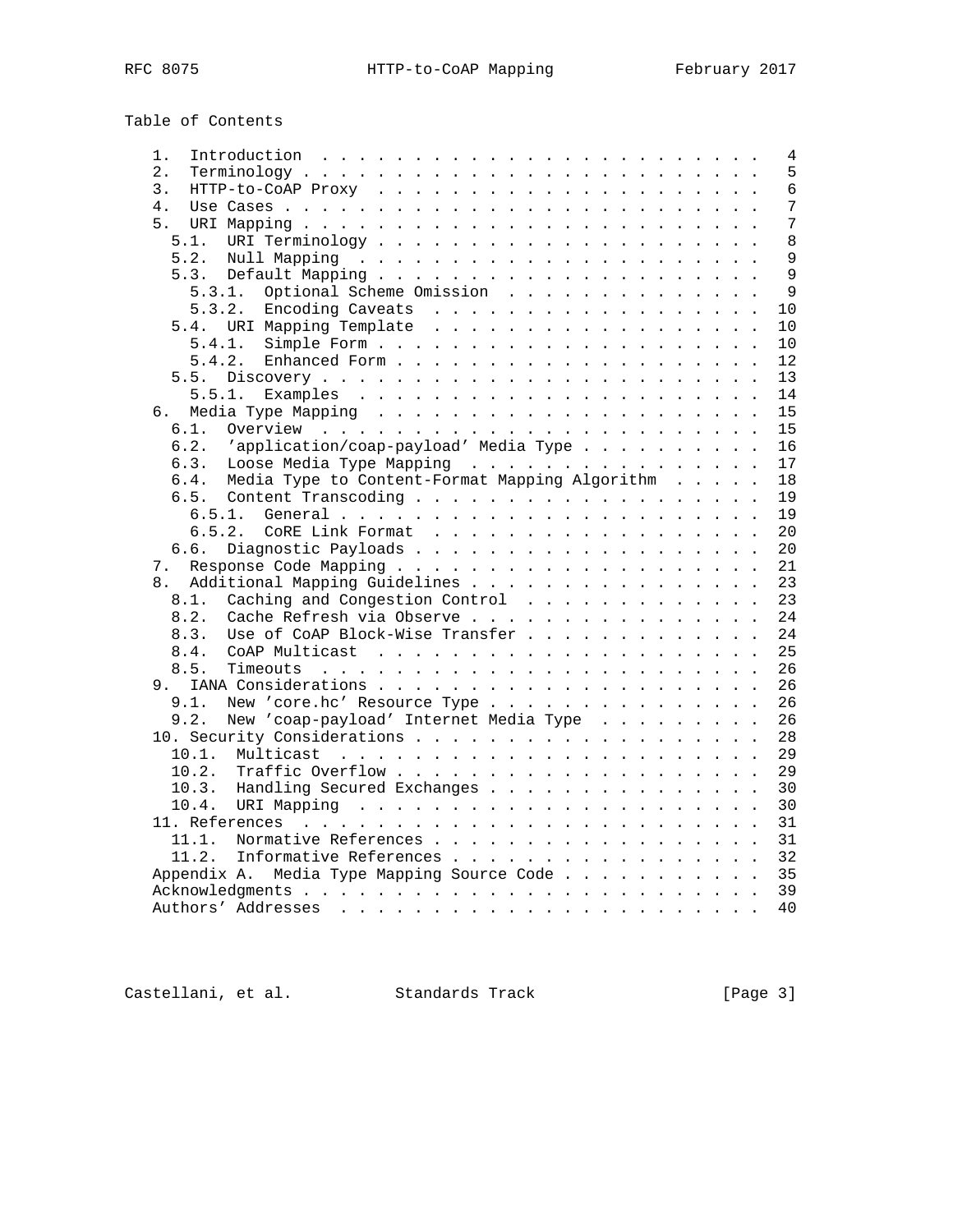Table of Contents

| 1.                                                     | 4            |
|--------------------------------------------------------|--------------|
| $\overline{2}$ .                                       | 5            |
| 3.                                                     | 6            |
| 4.                                                     | 7            |
| 5.                                                     | 7            |
| 5.1.                                                   | 8            |
| 5.2.                                                   | 9            |
| 5.3.                                                   | $\mathsf{Q}$ |
| Optional Scheme Omission<br>5.3.1.                     | 9            |
| 5.3.2.<br>Encoding Caveats                             | 10           |
| 5.4. URI Mapping Template                              | 10           |
| 5.4.1.                                                 | 10           |
| 5.4.2.<br>Enhanced Form                                | 12           |
| 5.5.                                                   | 13           |
| 5.5.1.                                                 | 14           |
| б.                                                     |              |
|                                                        | 15           |
| 6.1.                                                   | 15           |
| 'application/coap-payload' Media Type<br>6.2.          | 16           |
| Loose Media Type Mapping<br>6.3.                       | 17           |
| Media Type to Content-Format Mapping Algorithm<br>6.4. | 18           |
| 6.5.                                                   | 19           |
| 6.5.1.                                                 | 19           |
| 6.5.2.<br>CORE Link Format                             | 20           |
| Diagnostic Payloads<br>6.6.                            | 20           |
| 7.                                                     | 21           |
| Additional Mapping Guidelines<br>8.                    | 23           |
| Caching and Congestion Control<br>8.1.                 | 23           |
| Cache Refresh via Observe<br>8.2.                      | 24           |
| Use of CoAP Block-Wise Transfer<br>8.3.                | 24           |
| 8.4.                                                   | 25           |
| 8.5.                                                   | 26           |
| 9.                                                     | 26           |
| 9.1.<br>New 'core.hc' Resource Type                    | 26           |
| 9.2.<br>New 'coap-payload' Internet Media Type         | 26           |
|                                                        | 28           |
| 10.1.                                                  | 29           |
| 10.2.                                                  | 29           |
| Handling Secured Exchanges<br>10.3.                    | 30           |
| 10.4.                                                  | 30           |
|                                                        | 31           |
| 11.1.<br>Normative References                          | 31           |
| 11.2.<br>Informative References                        | 32           |
| Appendix A. Media Type Mapping Source Code             | 35           |
|                                                        | 39           |
|                                                        | 40           |
|                                                        |              |

Castellani, et al. Standards Track [Page 3]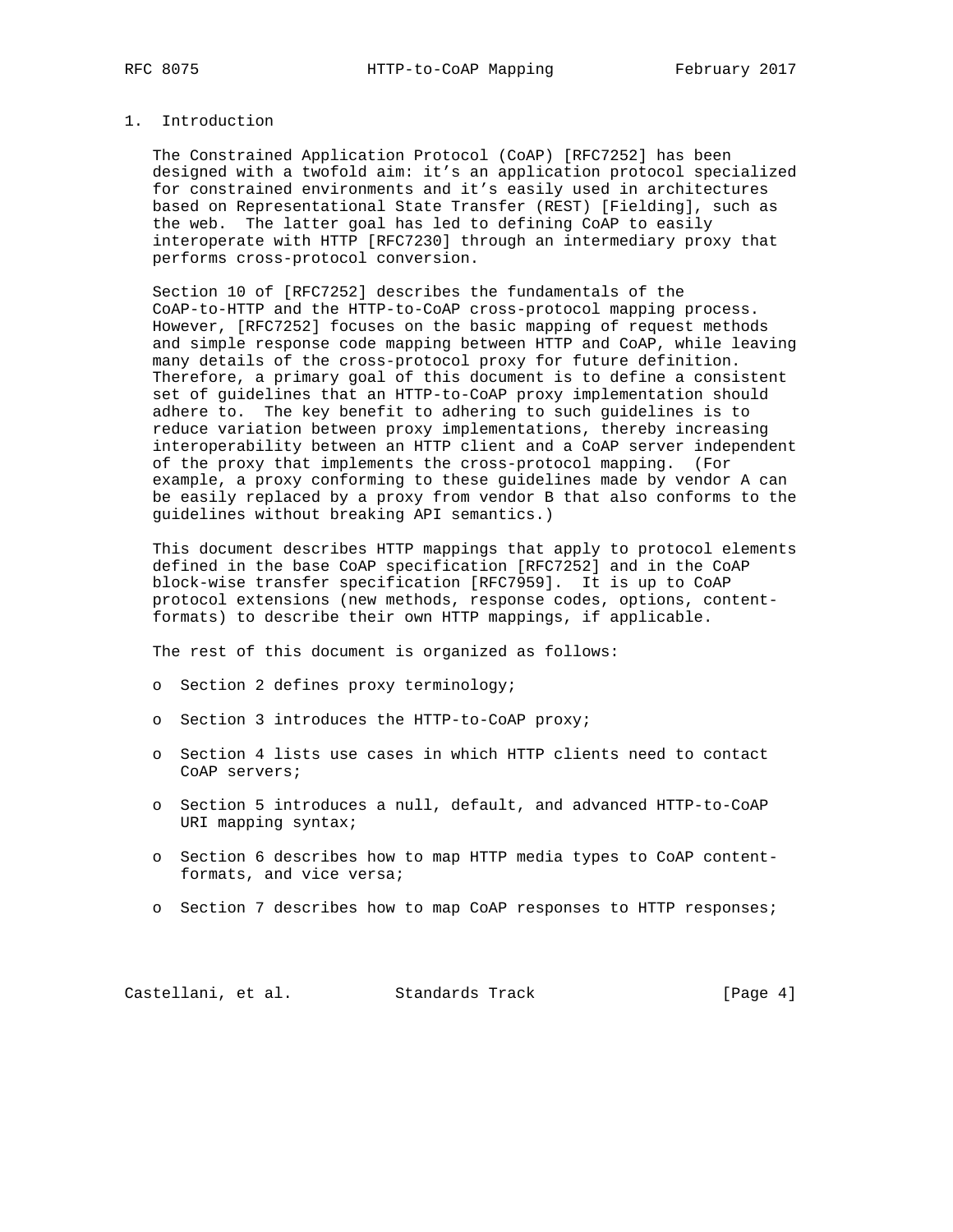## 1. Introduction

 The Constrained Application Protocol (CoAP) [RFC7252] has been designed with a twofold aim: it's an application protocol specialized for constrained environments and it's easily used in architectures based on Representational State Transfer (REST) [Fielding], such as the web. The latter goal has led to defining CoAP to easily interoperate with HTTP [RFC7230] through an intermediary proxy that performs cross-protocol conversion.

 Section 10 of [RFC7252] describes the fundamentals of the CoAP-to-HTTP and the HTTP-to-CoAP cross-protocol mapping process. However, [RFC7252] focuses on the basic mapping of request methods and simple response code mapping between HTTP and CoAP, while leaving many details of the cross-protocol proxy for future definition. Therefore, a primary goal of this document is to define a consistent set of guidelines that an HTTP-to-CoAP proxy implementation should adhere to. The key benefit to adhering to such guidelines is to reduce variation between proxy implementations, thereby increasing interoperability between an HTTP client and a CoAP server independent of the proxy that implements the cross-protocol mapping. (For example, a proxy conforming to these guidelines made by vendor A can be easily replaced by a proxy from vendor B that also conforms to the guidelines without breaking API semantics.)

 This document describes HTTP mappings that apply to protocol elements defined in the base CoAP specification [RFC7252] and in the CoAP block-wise transfer specification [RFC7959]. It is up to CoAP protocol extensions (new methods, response codes, options, content formats) to describe their own HTTP mappings, if applicable.

The rest of this document is organized as follows:

- o Section 2 defines proxy terminology;
- o Section 3 introduces the HTTP-to-CoAP proxy;
- o Section 4 lists use cases in which HTTP clients need to contact CoAP servers;
- o Section 5 introduces a null, default, and advanced HTTP-to-CoAP URI mapping syntax;
- o Section 6 describes how to map HTTP media types to CoAP content formats, and vice versa;
- o Section 7 describes how to map CoAP responses to HTTP responses;

Castellani, et al. Standards Track [Page 4]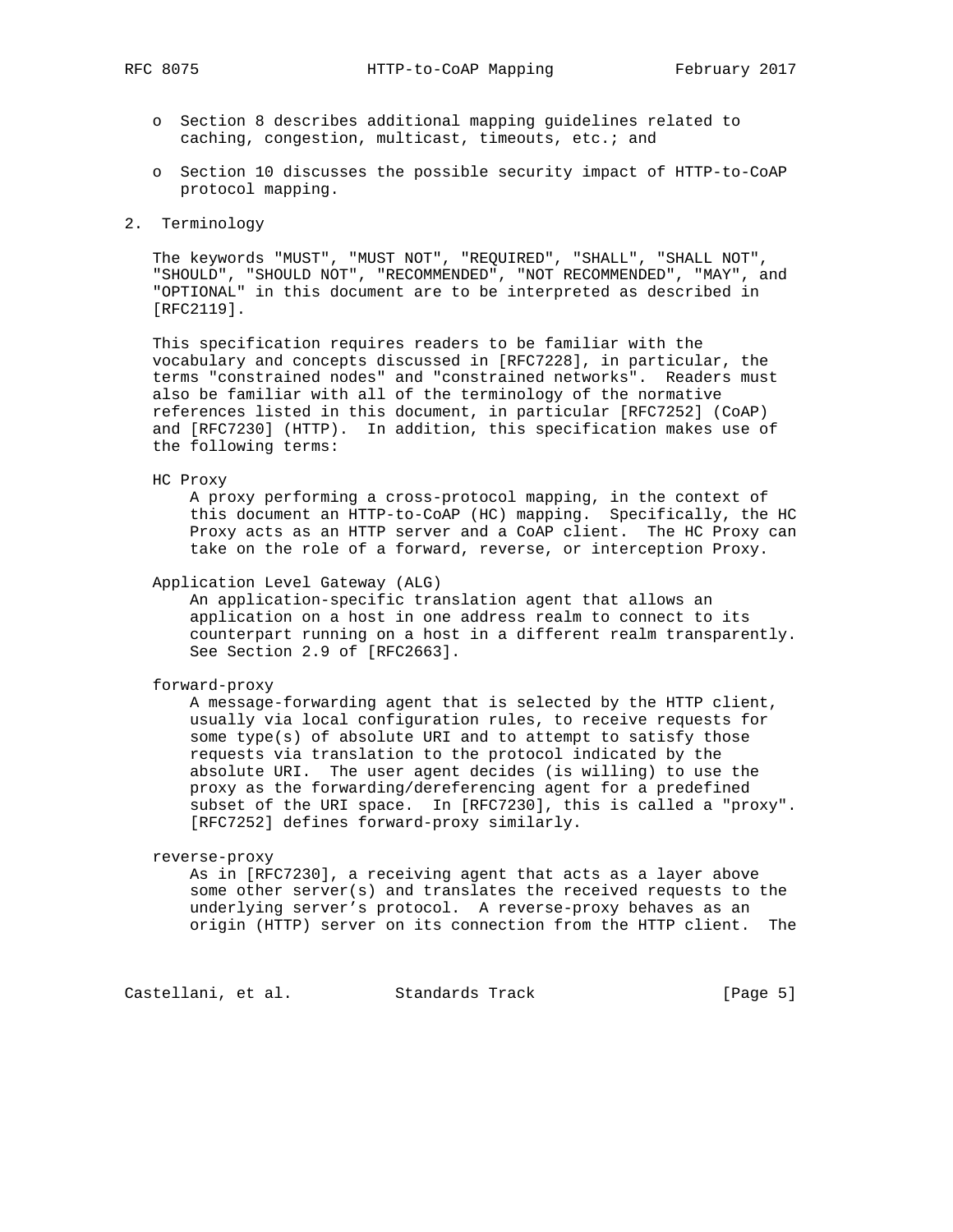- o Section 8 describes additional mapping guidelines related to caching, congestion, multicast, timeouts, etc.; and
- o Section 10 discusses the possible security impact of HTTP-to-CoAP protocol mapping.

### 2. Terminology

 The keywords "MUST", "MUST NOT", "REQUIRED", "SHALL", "SHALL NOT", "SHOULD", "SHOULD NOT", "RECOMMENDED", "NOT RECOMMENDED", "MAY", and "OPTIONAL" in this document are to be interpreted as described in [RFC2119].

 This specification requires readers to be familiar with the vocabulary and concepts discussed in [RFC7228], in particular, the terms "constrained nodes" and "constrained networks". Readers must also be familiar with all of the terminology of the normative references listed in this document, in particular [RFC7252] (CoAP) and [RFC7230] (HTTP). In addition, this specification makes use of the following terms:

HC Proxy

 A proxy performing a cross-protocol mapping, in the context of this document an HTTP-to-CoAP (HC) mapping. Specifically, the HC Proxy acts as an HTTP server and a CoAP client. The HC Proxy can take on the role of a forward, reverse, or interception Proxy.

Application Level Gateway (ALG)

 An application-specific translation agent that allows an application on a host in one address realm to connect to its counterpart running on a host in a different realm transparently. See Section 2.9 of [RFC2663].

### forward-proxy

 A message-forwarding agent that is selected by the HTTP client, usually via local configuration rules, to receive requests for some type(s) of absolute URI and to attempt to satisfy those requests via translation to the protocol indicated by the absolute URI. The user agent decides (is willing) to use the proxy as the forwarding/dereferencing agent for a predefined subset of the URI space. In [RFC7230], this is called a "proxy". [RFC7252] defines forward-proxy similarly.

### reverse-proxy

 As in [RFC7230], a receiving agent that acts as a layer above some other server(s) and translates the received requests to the underlying server's protocol. A reverse-proxy behaves as an origin (HTTP) server on its connection from the HTTP client. The

Castellani, et al. Standards Track [Page 5]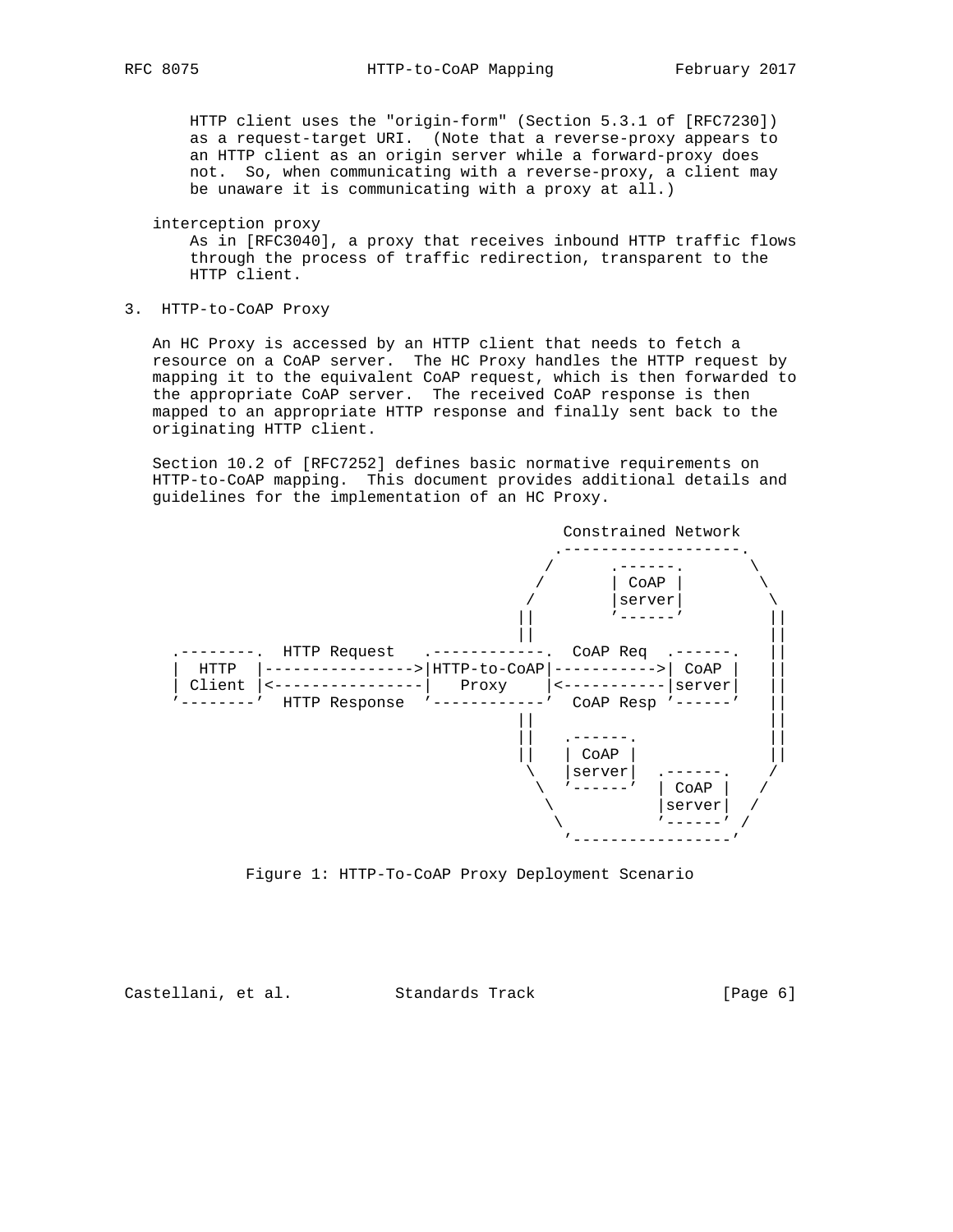HTTP client uses the "origin-form" (Section 5.3.1 of [RFC7230]) as a request-target URI. (Note that a reverse-proxy appears to an HTTP client as an origin server while a forward-proxy does not. So, when communicating with a reverse-proxy, a client may be unaware it is communicating with a proxy at all.)

interception proxy

 As in [RFC3040], a proxy that receives inbound HTTP traffic flows through the process of traffic redirection, transparent to the HTTP client.

3. HTTP-to-CoAP Proxy

 An HC Proxy is accessed by an HTTP client that needs to fetch a resource on a CoAP server. The HC Proxy handles the HTTP request by mapping it to the equivalent CoAP request, which is then forwarded to the appropriate CoAP server. The received CoAP response is then mapped to an appropriate HTTP response and finally sent back to the originating HTTP client.

 Section 10.2 of [RFC7252] defines basic normative requirements on HTTP-to-CoAP mapping. This document provides additional details and guidelines for the implementation of an HC Proxy.



Figure 1: HTTP-To-CoAP Proxy Deployment Scenario

Castellani, et al. Standards Track [Page 6]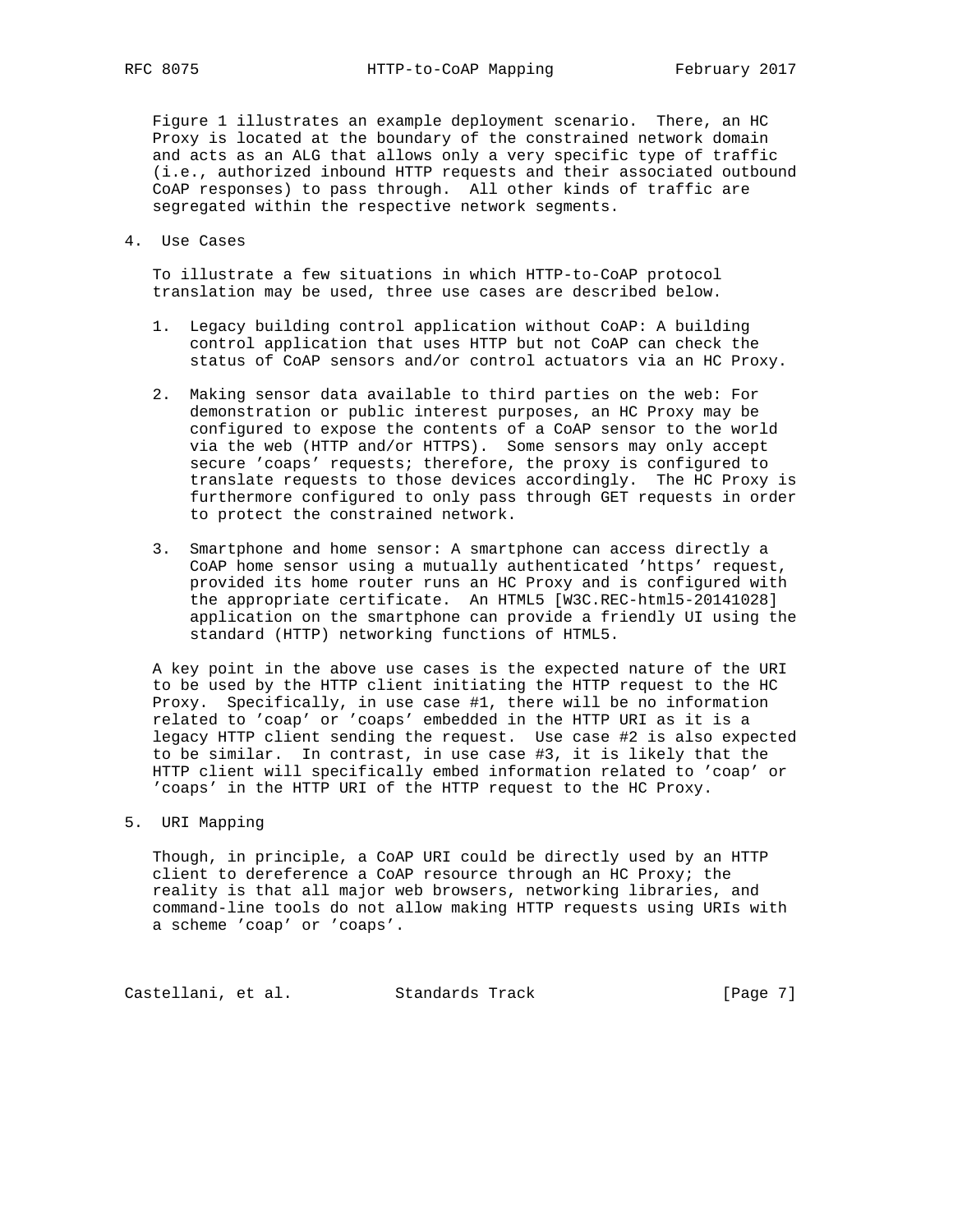Figure 1 illustrates an example deployment scenario. There, an HC Proxy is located at the boundary of the constrained network domain and acts as an ALG that allows only a very specific type of traffic (i.e., authorized inbound HTTP requests and their associated outbound CoAP responses) to pass through. All other kinds of traffic are segregated within the respective network segments.

4. Use Cases

 To illustrate a few situations in which HTTP-to-CoAP protocol translation may be used, three use cases are described below.

- 1. Legacy building control application without CoAP: A building control application that uses HTTP but not CoAP can check the status of CoAP sensors and/or control actuators via an HC Proxy.
- 2. Making sensor data available to third parties on the web: For demonstration or public interest purposes, an HC Proxy may be configured to expose the contents of a CoAP sensor to the world via the web (HTTP and/or HTTPS). Some sensors may only accept secure 'coaps' requests; therefore, the proxy is configured to translate requests to those devices accordingly. The HC Proxy is furthermore configured to only pass through GET requests in order to protect the constrained network.
- 3. Smartphone and home sensor: A smartphone can access directly a CoAP home sensor using a mutually authenticated 'https' request, provided its home router runs an HC Proxy and is configured with the appropriate certificate. An HTML5 [W3C.REC-html5-20141028] application on the smartphone can provide a friendly UI using the standard (HTTP) networking functions of HTML5.

 A key point in the above use cases is the expected nature of the URI to be used by the HTTP client initiating the HTTP request to the HC Proxy. Specifically, in use case #1, there will be no information related to 'coap' or 'coaps' embedded in the HTTP URI as it is a legacy HTTP client sending the request. Use case #2 is also expected to be similar. In contrast, in use case #3, it is likely that the HTTP client will specifically embed information related to 'coap' or 'coaps' in the HTTP URI of the HTTP request to the HC Proxy.

5. URI Mapping

 Though, in principle, a CoAP URI could be directly used by an HTTP client to dereference a CoAP resource through an HC Proxy; the reality is that all major web browsers, networking libraries, and command-line tools do not allow making HTTP requests using URIs with a scheme 'coap' or 'coaps'.

Castellani, et al. Standards Track [Page 7]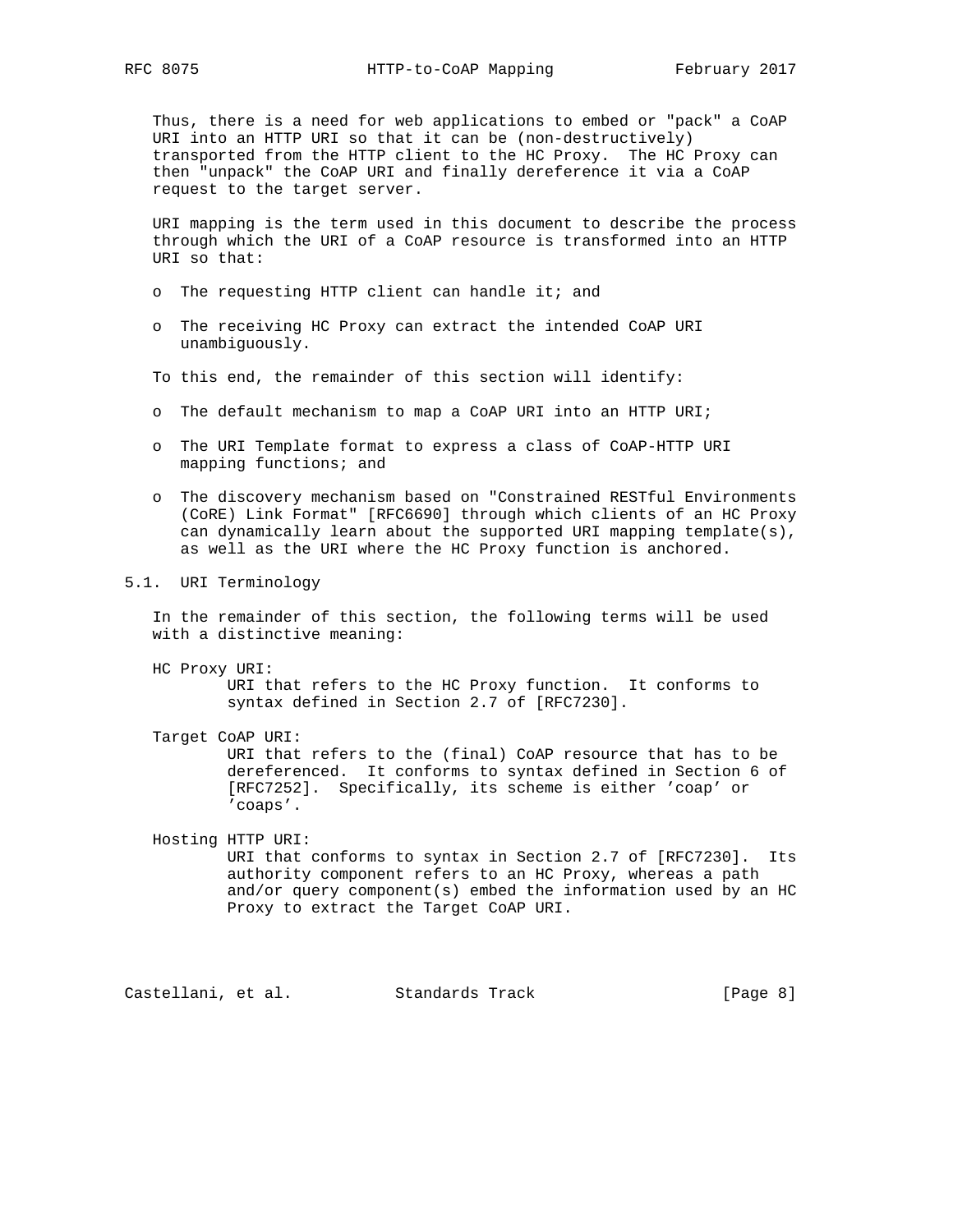Thus, there is a need for web applications to embed or "pack" a CoAP URI into an HTTP URI so that it can be (non-destructively) transported from the HTTP client to the HC Proxy. The HC Proxy can then "unpack" the CoAP URI and finally dereference it via a CoAP request to the target server.

 URI mapping is the term used in this document to describe the process through which the URI of a CoAP resource is transformed into an HTTP URI so that:

- o The requesting HTTP client can handle it; and
- o The receiving HC Proxy can extract the intended CoAP URI unambiguously.
- To this end, the remainder of this section will identify:
- o The default mechanism to map a CoAP URI into an HTTP URI;
- o The URI Template format to express a class of CoAP-HTTP URI mapping functions; and
- o The discovery mechanism based on "Constrained RESTful Environments (CoRE) Link Format" [RFC6690] through which clients of an HC Proxy can dynamically learn about the supported URI mapping template(s), as well as the URI where the HC Proxy function is anchored.
- 5.1. URI Terminology

 In the remainder of this section, the following terms will be used with a distinctive meaning:

 HC Proxy URI: URI that refers to the HC Proxy function. It conforms to syntax defined in Section 2.7 of [RFC7230].

Target CoAP URI:

 URI that refers to the (final) CoAP resource that has to be dereferenced. It conforms to syntax defined in Section 6 of [RFC7252]. Specifically, its scheme is either 'coap' or 'coaps'.

 Hosting HTTP URI: URI that conforms to syntax in Section 2.7 of [RFC7230]. Its authority component refers to an HC Proxy, whereas a path and/or query component(s) embed the information used by an HC Proxy to extract the Target CoAP URI.

Castellani, et al. Standards Track [Page 8]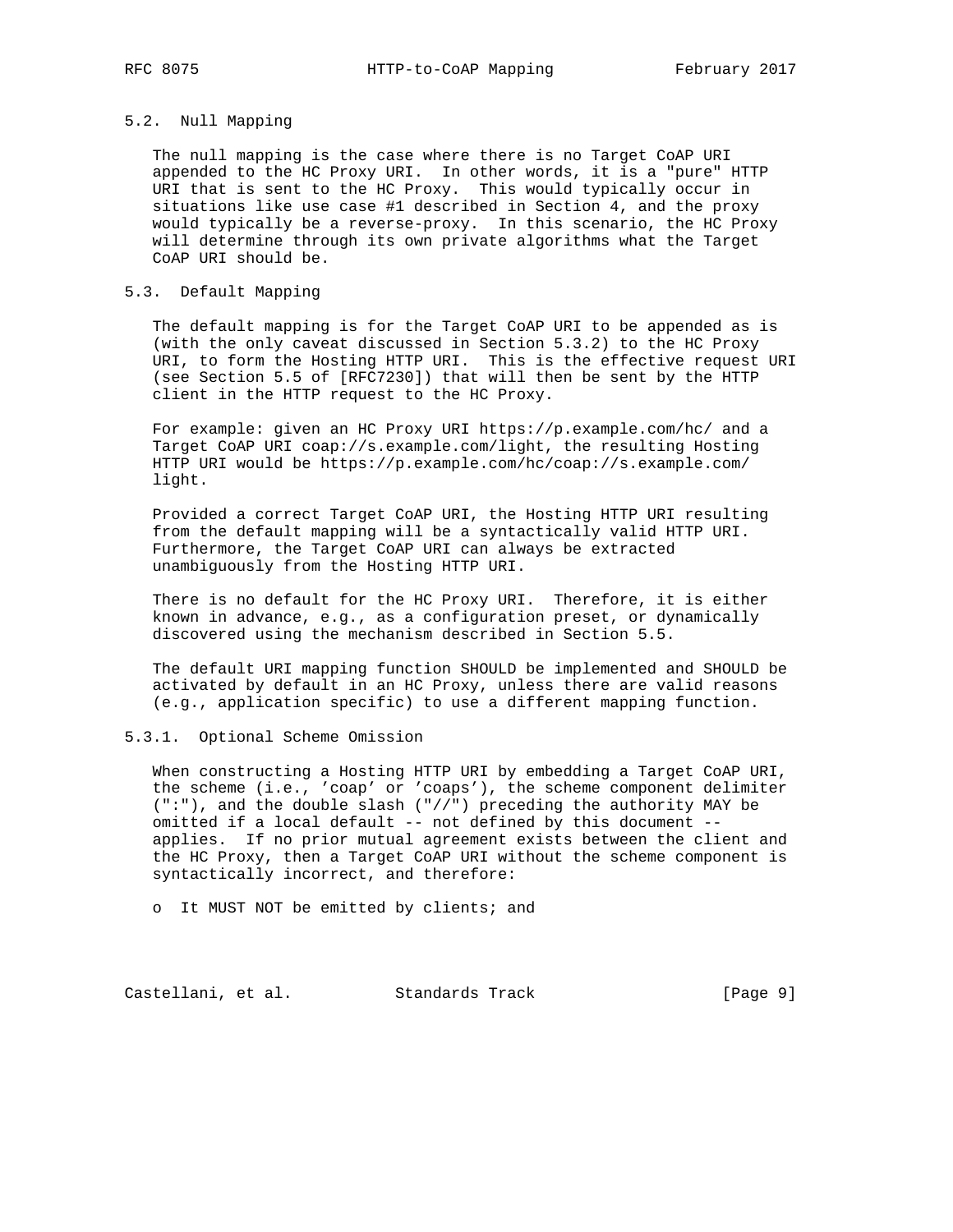## 5.2. Null Mapping

 The null mapping is the case where there is no Target CoAP URI appended to the HC Proxy URI. In other words, it is a "pure" HTTP URI that is sent to the HC Proxy. This would typically occur in situations like use case #1 described in Section 4, and the proxy would typically be a reverse-proxy. In this scenario, the HC Proxy will determine through its own private algorithms what the Target CoAP URI should be.

### 5.3. Default Mapping

 The default mapping is for the Target CoAP URI to be appended as is (with the only caveat discussed in Section 5.3.2) to the HC Proxy URI, to form the Hosting HTTP URI. This is the effective request URI (see Section 5.5 of [RFC7230]) that will then be sent by the HTTP client in the HTTP request to the HC Proxy.

 For example: given an HC Proxy URI https://p.example.com/hc/ and a Target CoAP URI coap://s.example.com/light, the resulting Hosting HTTP URI would be https://p.example.com/hc/coap://s.example.com/ light.

 Provided a correct Target CoAP URI, the Hosting HTTP URI resulting from the default mapping will be a syntactically valid HTTP URI. Furthermore, the Target CoAP URI can always be extracted unambiguously from the Hosting HTTP URI.

 There is no default for the HC Proxy URI. Therefore, it is either known in advance, e.g., as a configuration preset, or dynamically discovered using the mechanism described in Section 5.5.

 The default URI mapping function SHOULD be implemented and SHOULD be activated by default in an HC Proxy, unless there are valid reasons (e.g., application specific) to use a different mapping function.

### 5.3.1. Optional Scheme Omission

 When constructing a Hosting HTTP URI by embedding a Target CoAP URI, the scheme (i.e., 'coap' or 'coaps'), the scheme component delimiter (":"), and the double slash ("//") preceding the authority MAY be omitted if a local default -- not defined by this document - applies. If no prior mutual agreement exists between the client and the HC Proxy, then a Target CoAP URI without the scheme component is syntactically incorrect, and therefore:

o It MUST NOT be emitted by clients; and

Castellani, et al. Standards Track [Page 9]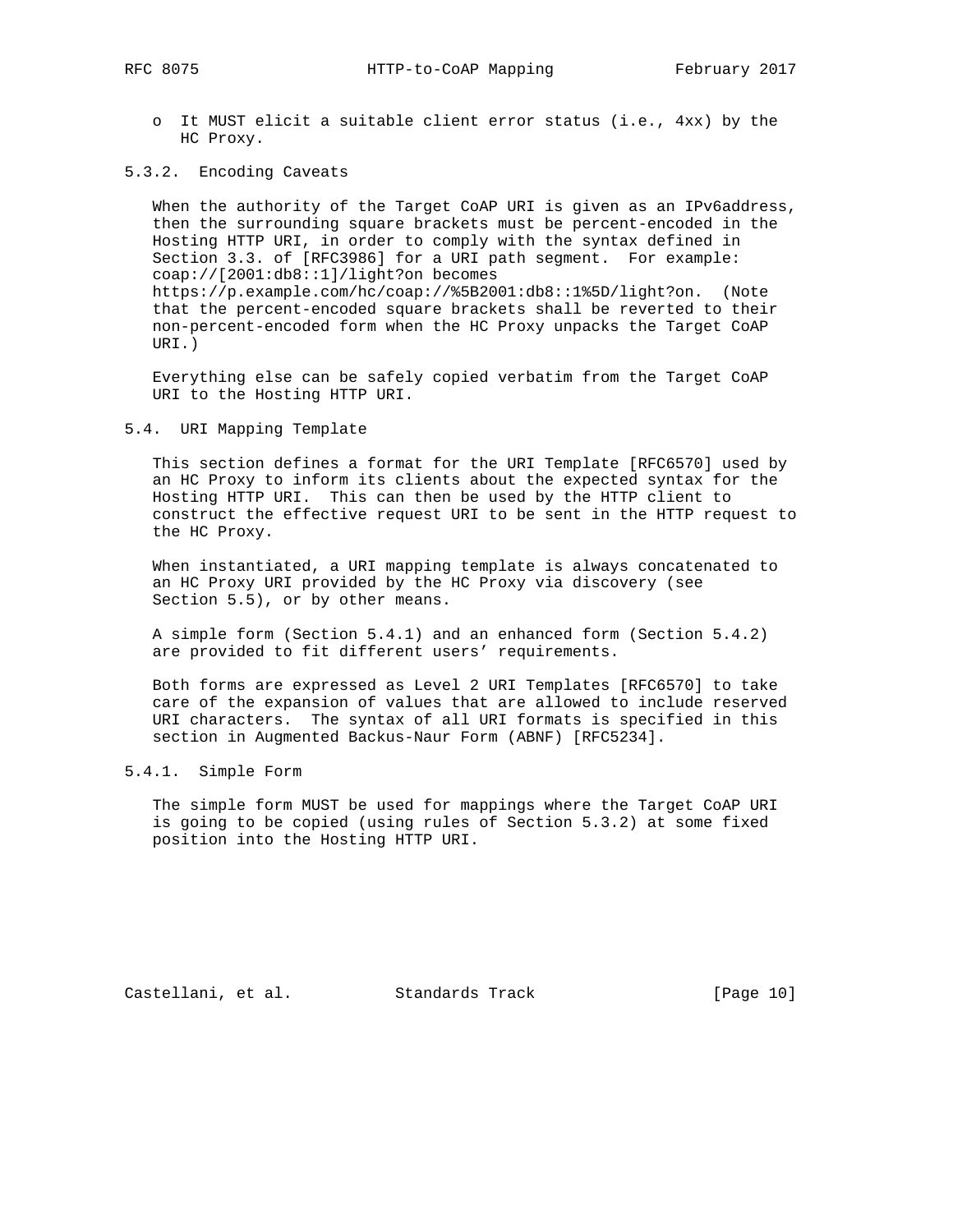o It MUST elicit a suitable client error status (i.e., 4xx) by the HC Proxy.

## 5.3.2. Encoding Caveats

 When the authority of the Target CoAP URI is given as an IPv6address, then the surrounding square brackets must be percent-encoded in the Hosting HTTP URI, in order to comply with the syntax defined in Section 3.3. of [RFC3986] for a URI path segment. For example: coap://[2001:db8::1]/light?on becomes https://p.example.com/hc/coap://%5B2001:db8::1%5D/light?on. (Note that the percent-encoded square brackets shall be reverted to their non-percent-encoded form when the HC Proxy unpacks the Target CoAP URI.)

 Everything else can be safely copied verbatim from the Target CoAP URI to the Hosting HTTP URI.

### 5.4. URI Mapping Template

 This section defines a format for the URI Template [RFC6570] used by an HC Proxy to inform its clients about the expected syntax for the Hosting HTTP URI. This can then be used by the HTTP client to construct the effective request URI to be sent in the HTTP request to the HC Proxy.

 When instantiated, a URI mapping template is always concatenated to an HC Proxy URI provided by the HC Proxy via discovery (see Section 5.5), or by other means.

 A simple form (Section 5.4.1) and an enhanced form (Section 5.4.2) are provided to fit different users' requirements.

 Both forms are expressed as Level 2 URI Templates [RFC6570] to take care of the expansion of values that are allowed to include reserved URI characters. The syntax of all URI formats is specified in this section in Augmented Backus-Naur Form (ABNF) [RFC5234].

## 5.4.1. Simple Form

 The simple form MUST be used for mappings where the Target CoAP URI is going to be copied (using rules of Section 5.3.2) at some fixed position into the Hosting HTTP URI.

Castellani, et al. Standards Track [Page 10]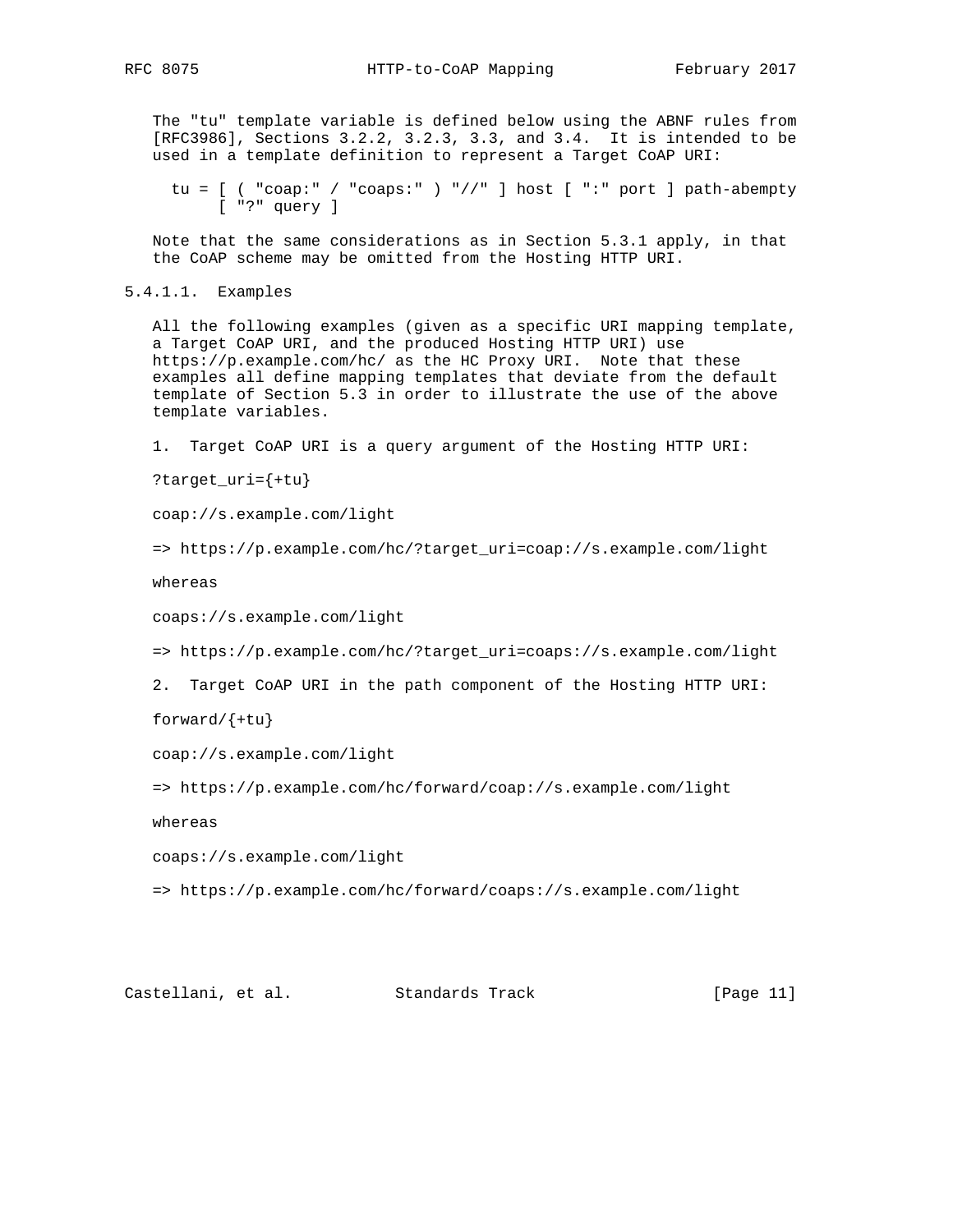The "tu" template variable is defined below using the ABNF rules from [RFC3986], Sections 3.2.2, 3.2.3, 3.3, and 3.4. It is intended to be used in a template definition to represent a Target CoAP URI:

```
 tu = [ ( "coap:" / "coaps:" ) "//" ] host [ ":" port ] path-abempty
      [ "?" query ]
```
 Note that the same considerations as in Section 5.3.1 apply, in that the CoAP scheme may be omitted from the Hosting HTTP URI.

```
5.4.1.1. Examples
```
 All the following examples (given as a specific URI mapping template, a Target CoAP URI, and the produced Hosting HTTP URI) use https://p.example.com/hc/ as the HC Proxy URI. Note that these examples all define mapping templates that deviate from the default template of Section 5.3 in order to illustrate the use of the above template variables.

1. Target CoAP URI is a query argument of the Hosting HTTP URI:

?target\_uri={+tu}

coap://s.example.com/light

```
 => https://p.example.com/hc/?target_uri=coap://s.example.com/light
```
whereas

coaps://s.example.com/light

=> https://p.example.com/hc/?target\_uri=coaps://s.example.com/light

```
 2. Target CoAP URI in the path component of the Hosting HTTP URI:
```
forward/{+tu}

```
 coap://s.example.com/light
```
=> https://p.example.com/hc/forward/coap://s.example.com/light

whereas

coaps://s.example.com/light

=> https://p.example.com/hc/forward/coaps://s.example.com/light

Castellani, et al. Standards Track [Page 11]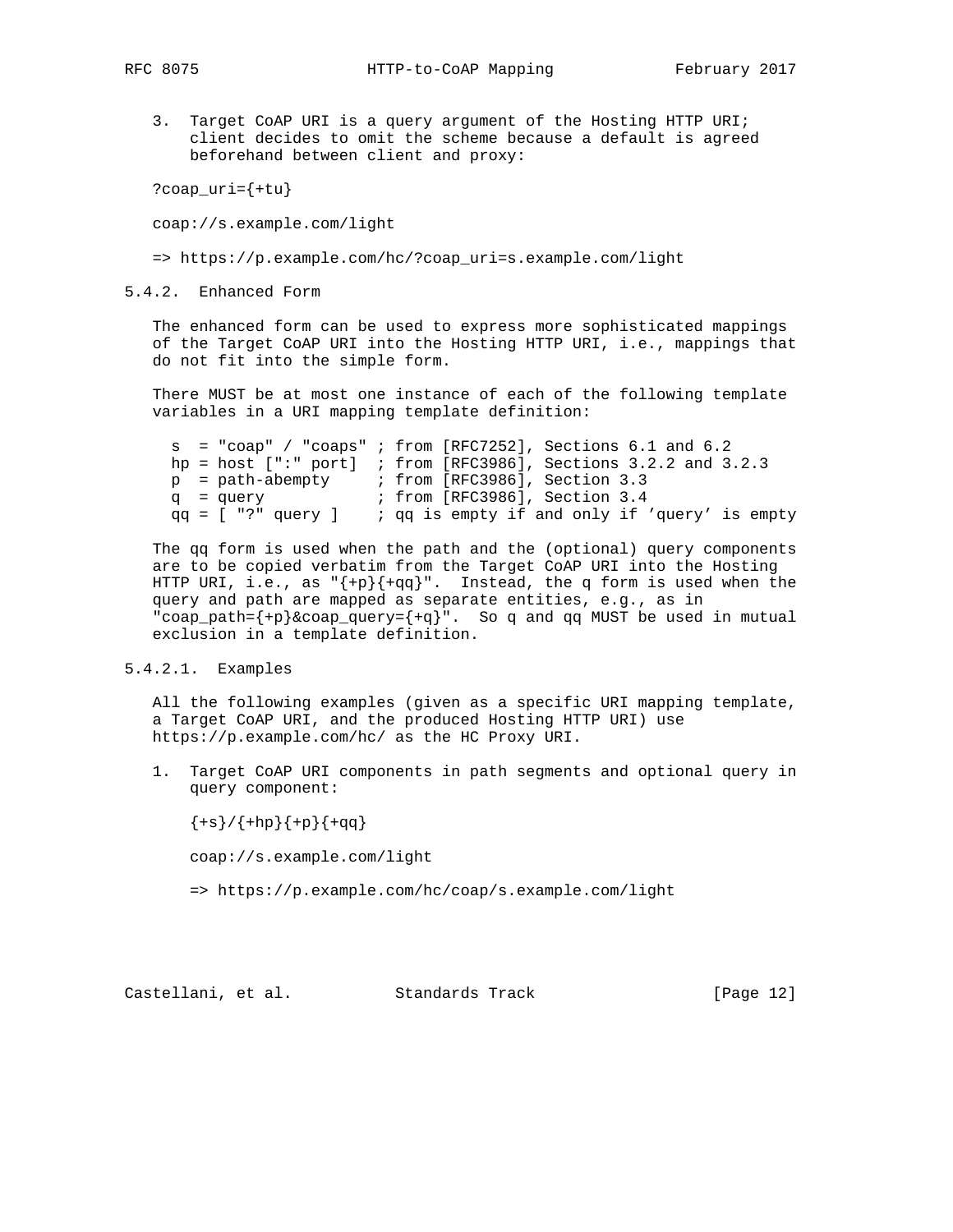3. Target CoAP URI is a query argument of the Hosting HTTP URI; client decides to omit the scheme because a default is agreed beforehand between client and proxy:

?coap\_uri={+tu}

coap://s.example.com/light

=> https://p.example.com/hc/?coap\_uri=s.example.com/light

5.4.2. Enhanced Form

 The enhanced form can be used to express more sophisticated mappings of the Target CoAP URI into the Hosting HTTP URI, i.e., mappings that do not fit into the simple form.

 There MUST be at most one instance of each of the following template variables in a URI mapping template definition:

```
 s = "coap" / "coaps" ; from [RFC7252], Sections 6.1 and 6.2
     hp = host [":" port] ; from [RFC3986], Sections 3.2.2 and 3.2.3
 p = path-abempty ; from [RFC3986], Section 3.3
 q = query ; from [RFC3986], Section 3.4
 qq = [ "?" query ] ; qq is empty if and only if 'query' is empty
```
 The qq form is used when the path and the (optional) query components are to be copied verbatim from the Target CoAP URI into the Hosting HTTP URI, i.e., as  ${+\mathrm{p}}{\mathrm{+qq}}$ . Instead, the q form is used when the query and path are mapped as separate entities, e.g., as in "coap\_path={+p}&coap\_query={+q}". So q and qq MUST be used in mutual exclusion in a template definition.

## 5.4.2.1. Examples

 All the following examples (given as a specific URI mapping template, a Target CoAP URI, and the produced Hosting HTTP URI) use https://p.example.com/hc/ as the HC Proxy URI.

 1. Target CoAP URI components in path segments and optional query in query component:

 ${+s}/{+hp}{+pp}{+p}$ 

coap://s.example.com/light

=> https://p.example.com/hc/coap/s.example.com/light

Castellani, et al. Standards Track [Page 12]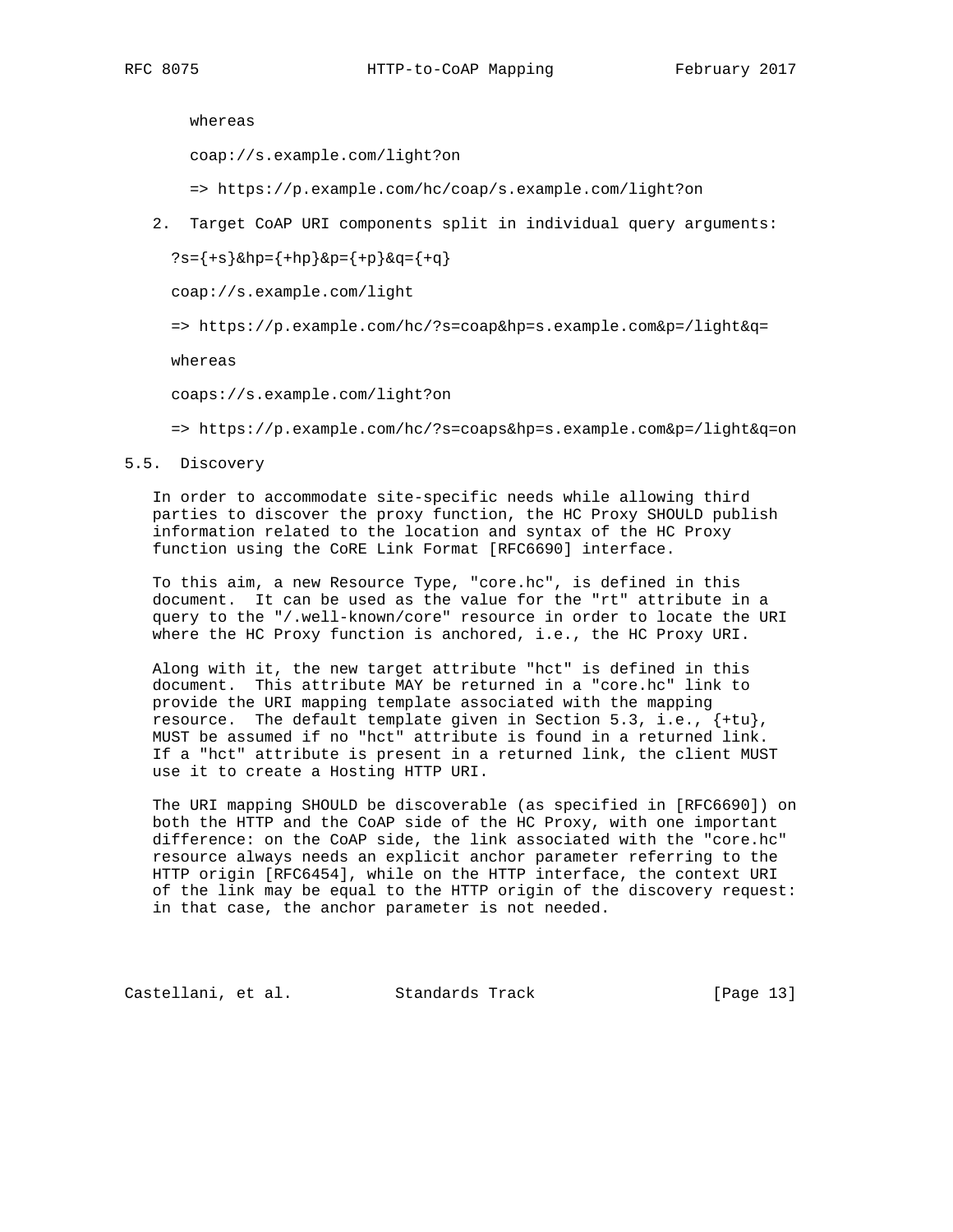whereas

coap://s.example.com/light?on

=> https://p.example.com/hc/coap/s.example.com/light?on

2. Target CoAP URI components split in individual query arguments:

?s={+s}&hp={+hp}&p={+p}&q={+q}

coap://s.example.com/light

=> https://p.example.com/hc/?s=coap&hp=s.example.com&p=/light&q=

whereas

coaps://s.example.com/light?on

=> https://p.example.com/hc/?s=coaps&hp=s.example.com&p=/light&q=on

5.5. Discovery

 In order to accommodate site-specific needs while allowing third parties to discover the proxy function, the HC Proxy SHOULD publish information related to the location and syntax of the HC Proxy function using the CoRE Link Format [RFC6690] interface.

 To this aim, a new Resource Type, "core.hc", is defined in this document. It can be used as the value for the "rt" attribute in a query to the "/.well-known/core" resource in order to locate the URI where the HC Proxy function is anchored, i.e., the HC Proxy URI.

 Along with it, the new target attribute "hct" is defined in this document. This attribute MAY be returned in a "core.hc" link to provide the URI mapping template associated with the mapping resource. The default template given in Section 5.3, i.e.,  $\{+tu\}$ , MUST be assumed if no "hct" attribute is found in a returned link. If a "hct" attribute is present in a returned link, the client MUST use it to create a Hosting HTTP URI.

 The URI mapping SHOULD be discoverable (as specified in [RFC6690]) on both the HTTP and the CoAP side of the HC Proxy, with one important difference: on the CoAP side, the link associated with the "core.hc" resource always needs an explicit anchor parameter referring to the HTTP origin [RFC6454], while on the HTTP interface, the context URI of the link may be equal to the HTTP origin of the discovery request: in that case, the anchor parameter is not needed.

Castellani, et al. Standards Track [Page 13]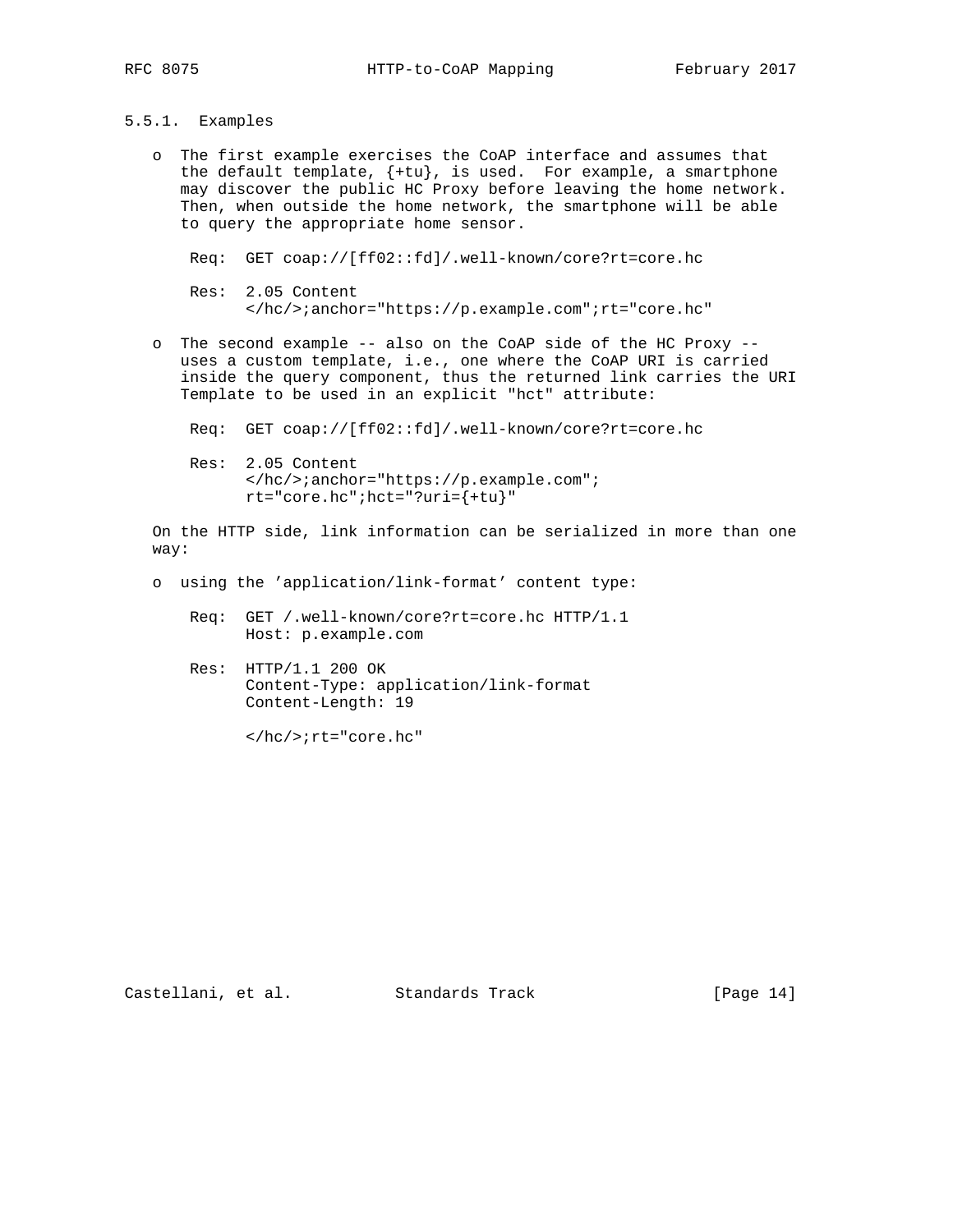## 5.5.1. Examples

 o The first example exercises the CoAP interface and assumes that the default template, {+tu}, is used. For example, a smartphone may discover the public HC Proxy before leaving the home network. Then, when outside the home network, the smartphone will be able to query the appropriate home sensor.

Req: GET coap://[ff02::fd]/.well-known/core?rt=core.hc

- Res: 2.05 Content </hc/>;anchor="https://p.example.com";rt="core.hc"
- o The second example -- also on the CoAP side of the HC Proxy uses a custom template, i.e., one where the CoAP URI is carried inside the query component, thus the returned link carries the URI Template to be used in an explicit "hct" attribute:

Req: GET coap://[ff02::fd]/.well-known/core?rt=core.hc

 Res: 2.05 Content </hc/>;anchor="https://p.example.com";  $rt="core.hc"$ ; hct="?uri= ${+tu}$ "

 On the HTTP side, link information can be serialized in more than one way:

- o using the 'application/link-format' content type:
	- Req: GET /.well-known/core?rt=core.hc HTTP/1.1 Host: p.example.com
	- Res: HTTP/1.1 200 OK Content-Type: application/link-format Content-Length: 19

</hc/>;rt="core.hc"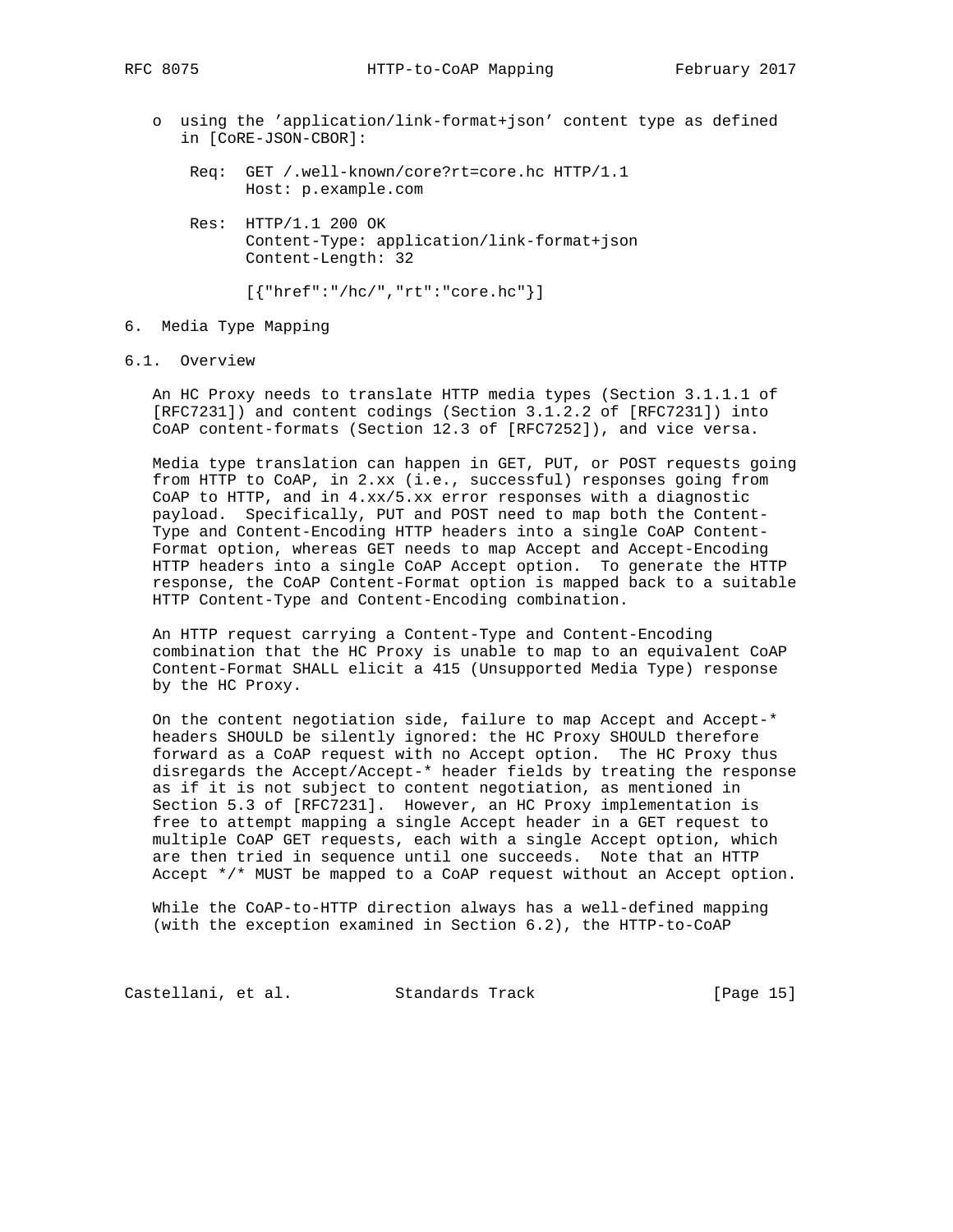- o using the 'application/link-format+json' content type as defined in [CoRE-JSON-CBOR]:
	- Req: GET /.well-known/core?rt=core.hc HTTP/1.1 Host: p.example.com
	- Res: HTTP/1.1 200 OK Content-Type: application/link-format+json Content-Length: 32

```
 [{"href":"/hc/","rt":"core.hc"}]
```
- 6. Media Type Mapping
- 6.1. Overview

 An HC Proxy needs to translate HTTP media types (Section 3.1.1.1 of [RFC7231]) and content codings (Section 3.1.2.2 of [RFC7231]) into CoAP content-formats (Section 12.3 of [RFC7252]), and vice versa.

 Media type translation can happen in GET, PUT, or POST requests going from HTTP to CoAP, in 2.xx (i.e., successful) responses going from CoAP to HTTP, and in 4.xx/5.xx error responses with a diagnostic payload. Specifically, PUT and POST need to map both the Content- Type and Content-Encoding HTTP headers into a single CoAP Content- Format option, whereas GET needs to map Accept and Accept-Encoding HTTP headers into a single CoAP Accept option. To generate the HTTP response, the CoAP Content-Format option is mapped back to a suitable HTTP Content-Type and Content-Encoding combination.

 An HTTP request carrying a Content-Type and Content-Encoding combination that the HC Proxy is unable to map to an equivalent CoAP Content-Format SHALL elicit a 415 (Unsupported Media Type) response by the HC Proxy.

 On the content negotiation side, failure to map Accept and Accept-\* headers SHOULD be silently ignored: the HC Proxy SHOULD therefore forward as a CoAP request with no Accept option. The HC Proxy thus disregards the Accept/Accept-\* header fields by treating the response as if it is not subject to content negotiation, as mentioned in Section 5.3 of [RFC7231]. However, an HC Proxy implementation is free to attempt mapping a single Accept header in a GET request to multiple CoAP GET requests, each with a single Accept option, which are then tried in sequence until one succeeds. Note that an HTTP Accept \*/\* MUST be mapped to a CoAP request without an Accept option.

 While the CoAP-to-HTTP direction always has a well-defined mapping (with the exception examined in Section 6.2), the HTTP-to-CoAP

Castellani, et al. Standards Track [Page 15]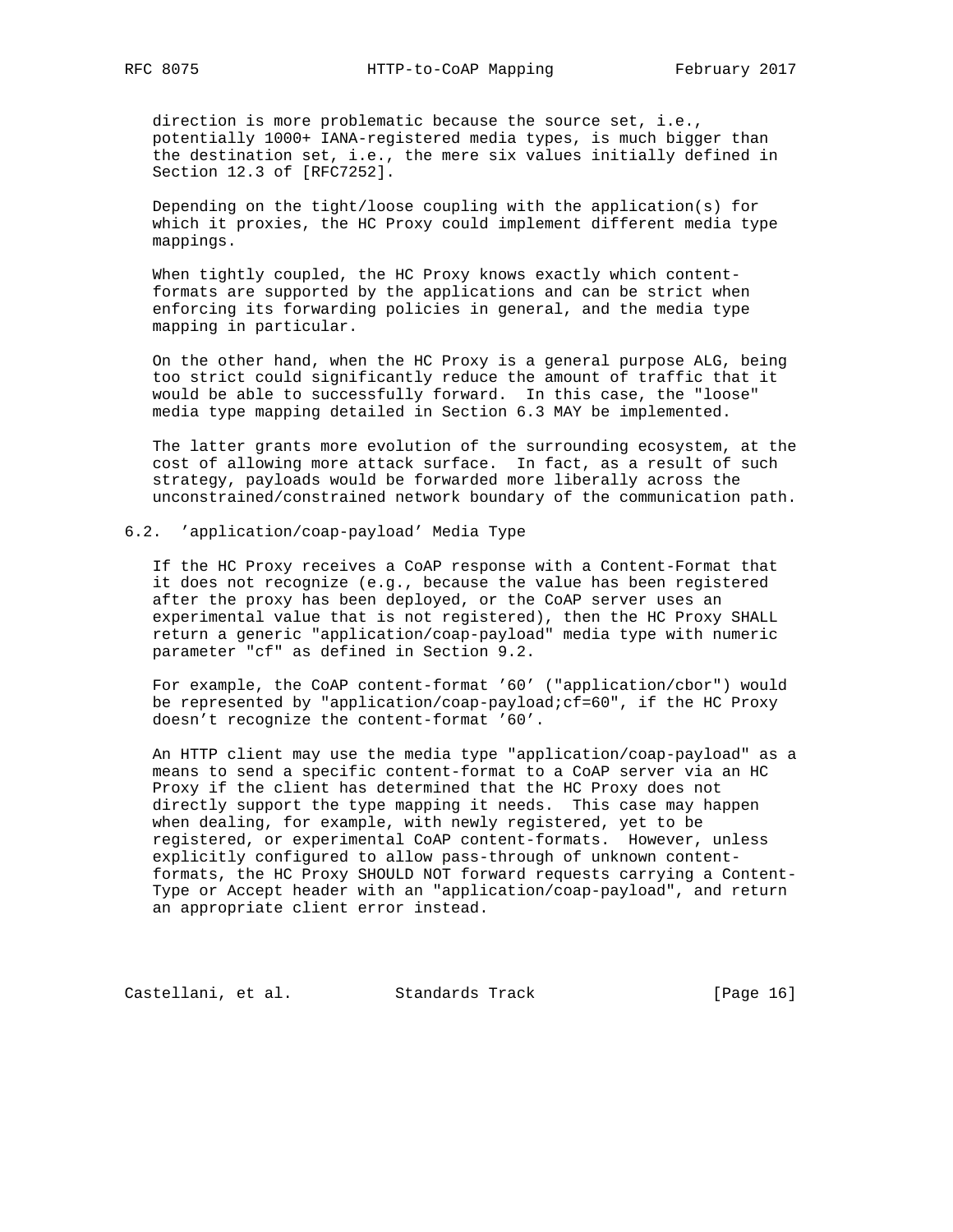direction is more problematic because the source set, i.e., potentially 1000+ IANA-registered media types, is much bigger than the destination set, i.e., the mere six values initially defined in Section 12.3 of [RFC7252].

 Depending on the tight/loose coupling with the application(s) for which it proxies, the HC Proxy could implement different media type mappings.

 When tightly coupled, the HC Proxy knows exactly which content formats are supported by the applications and can be strict when enforcing its forwarding policies in general, and the media type mapping in particular.

 On the other hand, when the HC Proxy is a general purpose ALG, being too strict could significantly reduce the amount of traffic that it would be able to successfully forward. In this case, the "loose" media type mapping detailed in Section 6.3 MAY be implemented.

 The latter grants more evolution of the surrounding ecosystem, at the cost of allowing more attack surface. In fact, as a result of such strategy, payloads would be forwarded more liberally across the unconstrained/constrained network boundary of the communication path.

# 6.2. 'application/coap-payload' Media Type

 If the HC Proxy receives a CoAP response with a Content-Format that it does not recognize (e.g., because the value has been registered after the proxy has been deployed, or the CoAP server uses an experimental value that is not registered), then the HC Proxy SHALL return a generic "application/coap-payload" media type with numeric parameter "cf" as defined in Section 9.2.

 For example, the CoAP content-format '60' ("application/cbor") would be represented by "application/coap-payload;cf=60", if the HC Proxy doesn't recognize the content-format '60'.

 An HTTP client may use the media type "application/coap-payload" as a means to send a specific content-format to a CoAP server via an HC Proxy if the client has determined that the HC Proxy does not directly support the type mapping it needs. This case may happen when dealing, for example, with newly registered, yet to be registered, or experimental CoAP content-formats. However, unless explicitly configured to allow pass-through of unknown content formats, the HC Proxy SHOULD NOT forward requests carrying a Content- Type or Accept header with an "application/coap-payload", and return an appropriate client error instead.

Castellani, et al. Standards Track [Page 16]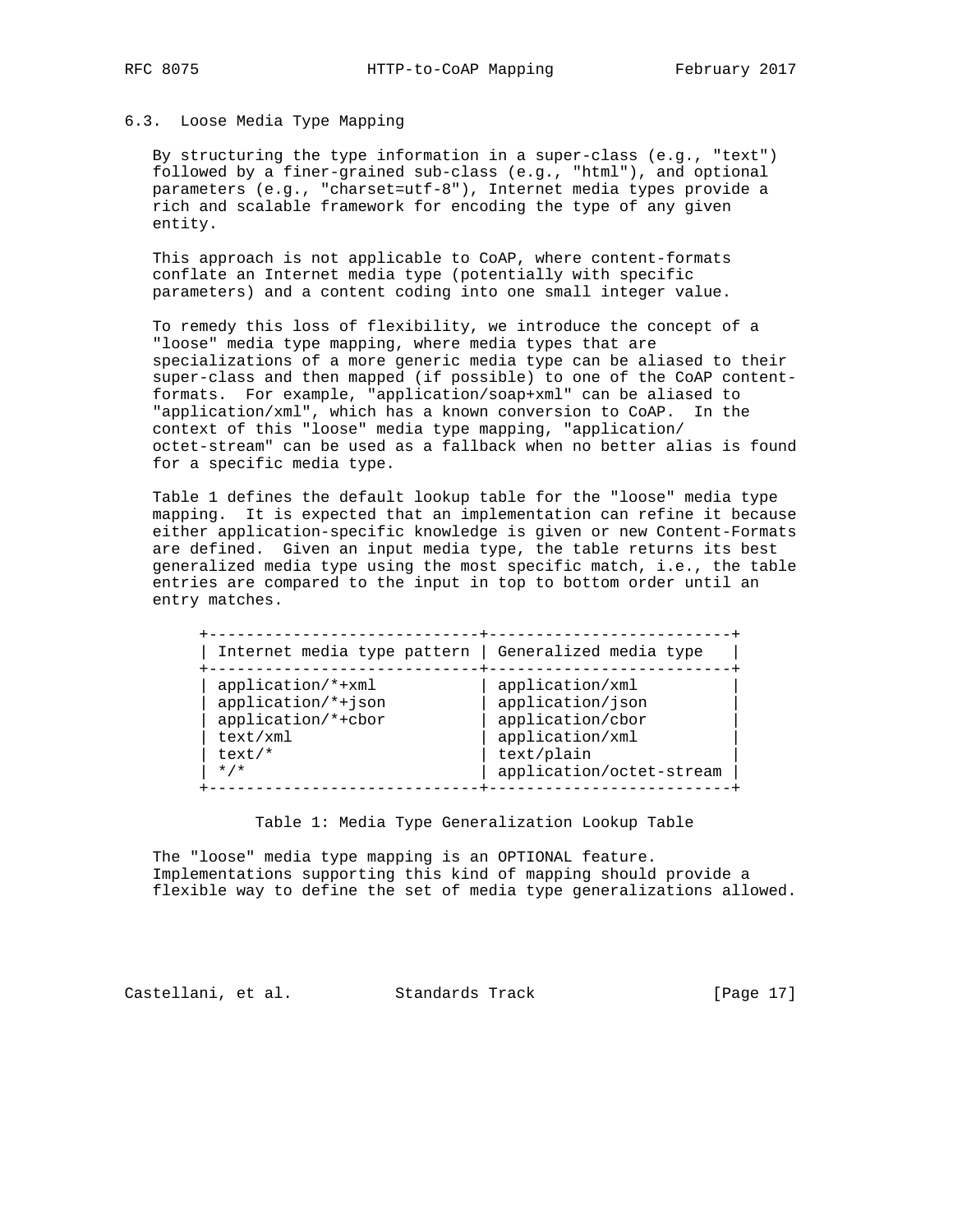### 6.3. Loose Media Type Mapping

 By structuring the type information in a super-class (e.g., "text") followed by a finer-grained sub-class (e.g., "html"), and optional parameters (e.g., "charset=utf-8"), Internet media types provide a rich and scalable framework for encoding the type of any given entity.

 This approach is not applicable to CoAP, where content-formats conflate an Internet media type (potentially with specific parameters) and a content coding into one small integer value.

 To remedy this loss of flexibility, we introduce the concept of a "loose" media type mapping, where media types that are specializations of a more generic media type can be aliased to their super-class and then mapped (if possible) to one of the CoAP content formats. For example, "application/soap+xml" can be aliased to "application/xml", which has a known conversion to CoAP. In the context of this "loose" media type mapping, "application/ octet-stream" can be used as a fallback when no better alias is found for a specific media type.

 Table 1 defines the default lookup table for the "loose" media type mapping. It is expected that an implementation can refine it because either application-specific knowledge is given or new Content-Formats are defined. Given an input media type, the table returns its best generalized media type using the most specific match, i.e., the table entries are compared to the input in top to bottom order until an entry matches.

| Internet media type pattern | Generalized media type   |
|-----------------------------|--------------------------|
| application/*+xml           | application/xml          |
| application/*+json          | application/json         |
| application/*+cbor          | application/cbor         |
| text/xml                    | application/xml          |
| text/*                      | text/plain               |
| $\star$ / $\star$           | application/octet-stream |

Table 1: Media Type Generalization Lookup Table

 The "loose" media type mapping is an OPTIONAL feature. Implementations supporting this kind of mapping should provide a flexible way to define the set of media type generalizations allowed.

Castellani, et al. Standards Track [Page 17]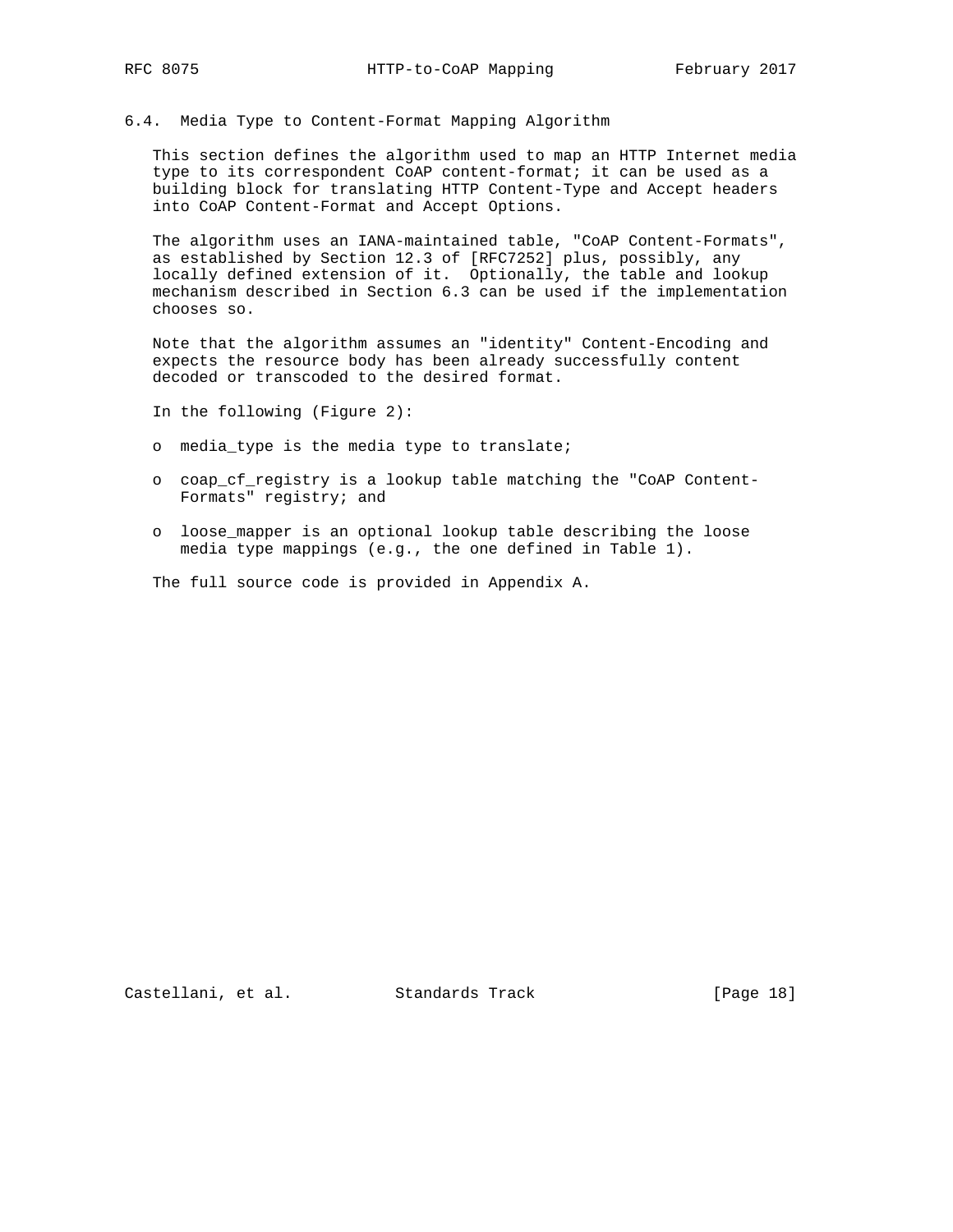### 6.4. Media Type to Content-Format Mapping Algorithm

 This section defines the algorithm used to map an HTTP Internet media type to its correspondent CoAP content-format; it can be used as a building block for translating HTTP Content-Type and Accept headers into CoAP Content-Format and Accept Options.

 The algorithm uses an IANA-maintained table, "CoAP Content-Formats", as established by Section 12.3 of [RFC7252] plus, possibly, any locally defined extension of it. Optionally, the table and lookup mechanism described in Section 6.3 can be used if the implementation chooses so.

 Note that the algorithm assumes an "identity" Content-Encoding and expects the resource body has been already successfully content decoded or transcoded to the desired format.

In the following (Figure 2):

- o media\_type is the media type to translate;
- o coap\_cf\_registry is a lookup table matching the "CoAP Content- Formats" registry; and
- o loose\_mapper is an optional lookup table describing the loose media type mappings (e.g., the one defined in Table 1).

The full source code is provided in Appendix A.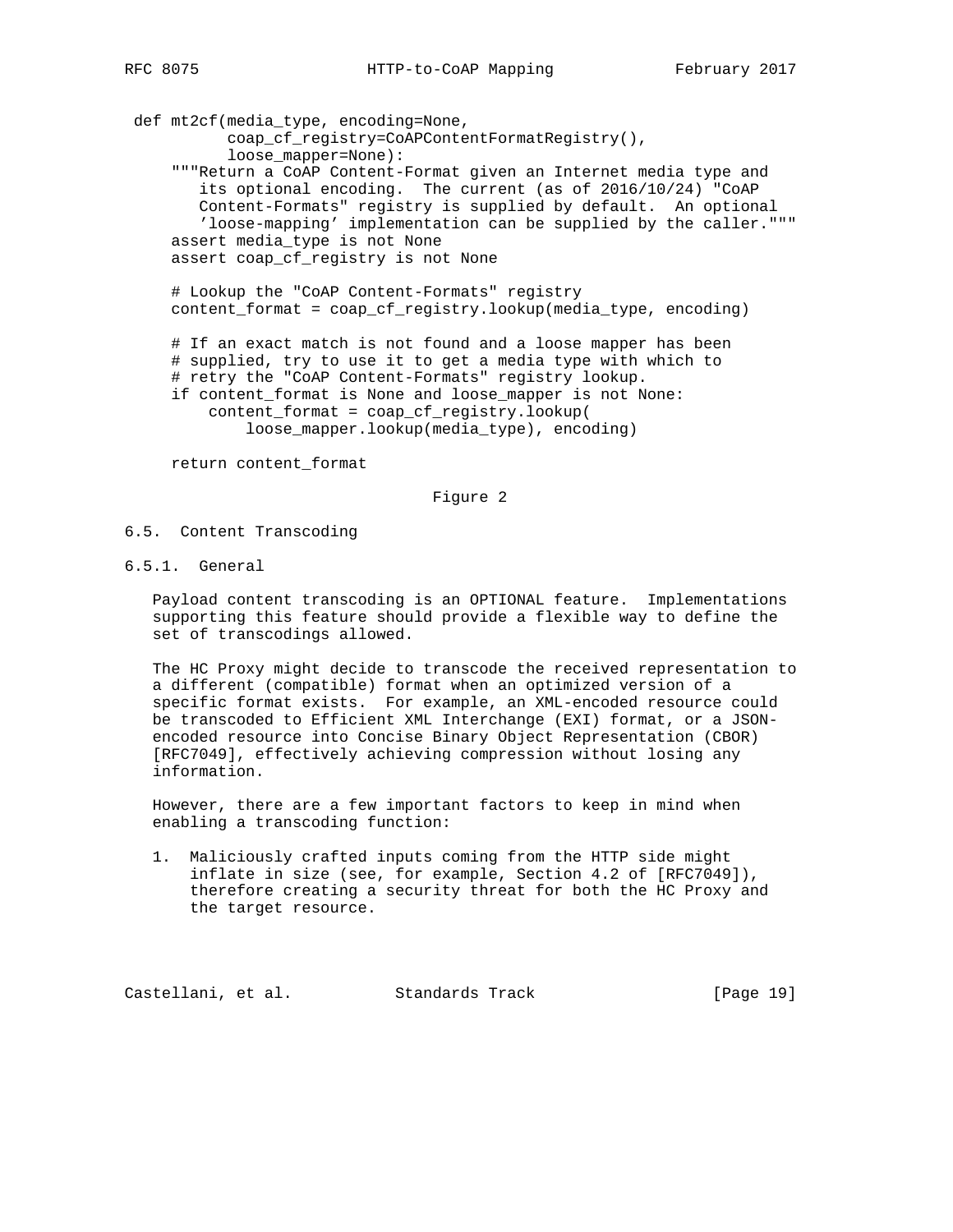def mt2cf(media\_type, encoding=None, coap\_cf\_registry=CoAPContentFormatRegistry(), loose\_mapper=None): """Return a CoAP Content-Format given an Internet media type and its optional encoding. The current (as of 2016/10/24) "CoAP Content-Formats" registry is supplied by default. An optional 'loose-mapping' implementation can be supplied by the caller.""" assert media\_type is not None assert coap\_cf\_registry is not None

 # Lookup the "CoAP Content-Formats" registry content\_format = coap\_cf\_registry.lookup(media\_type, encoding)

 # If an exact match is not found and a loose mapper has been # supplied, try to use it to get a media type with which to # retry the "CoAP Content-Formats" registry lookup. if content\_format is None and loose\_mapper is not None: content\_format = coap\_cf\_registry.lookup( loose\_mapper.lookup(media\_type), encoding)

return content\_format

### Figure 2

- 6.5. Content Transcoding
- 6.5.1. General

 Payload content transcoding is an OPTIONAL feature. Implementations supporting this feature should provide a flexible way to define the set of transcodings allowed.

 The HC Proxy might decide to transcode the received representation to a different (compatible) format when an optimized version of a specific format exists. For example, an XML-encoded resource could be transcoded to Efficient XML Interchange (EXI) format, or a JSON encoded resource into Concise Binary Object Representation (CBOR) [RFC7049], effectively achieving compression without losing any information.

 However, there are a few important factors to keep in mind when enabling a transcoding function:

 1. Maliciously crafted inputs coming from the HTTP side might inflate in size (see, for example, Section 4.2 of [RFC7049]), therefore creating a security threat for both the HC Proxy and the target resource.

Castellani, et al. Standards Track [Page 19]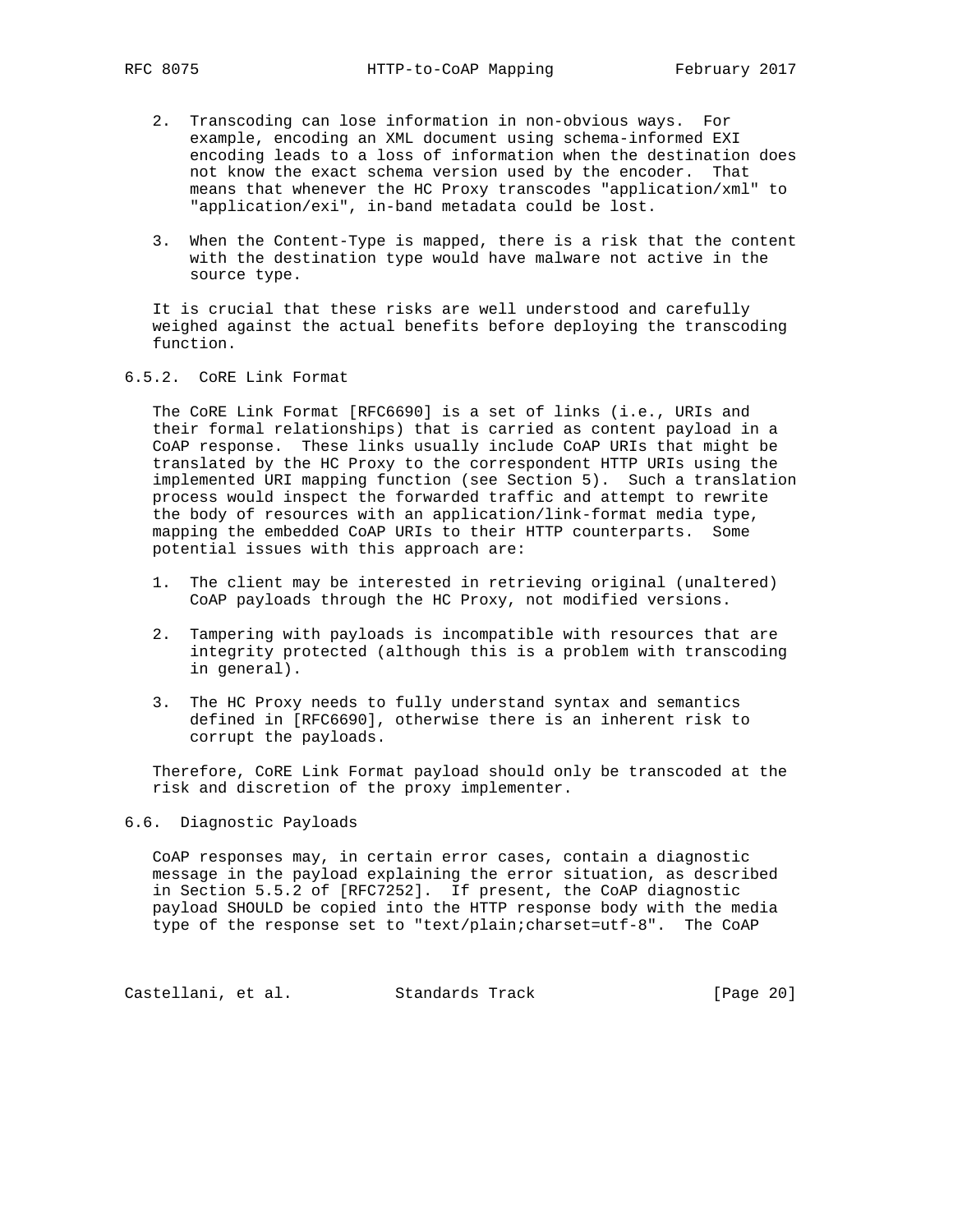- 2. Transcoding can lose information in non-obvious ways. For example, encoding an XML document using schema-informed EXI encoding leads to a loss of information when the destination does not know the exact schema version used by the encoder. That means that whenever the HC Proxy transcodes "application/xml" to "application/exi", in-band metadata could be lost.
- 3. When the Content-Type is mapped, there is a risk that the content with the destination type would have malware not active in the source type.

 It is crucial that these risks are well understood and carefully weighed against the actual benefits before deploying the transcoding function.

## 6.5.2. CoRE Link Format

 The CoRE Link Format [RFC6690] is a set of links (i.e., URIs and their formal relationships) that is carried as content payload in a CoAP response. These links usually include CoAP URIs that might be translated by the HC Proxy to the correspondent HTTP URIs using the implemented URI mapping function (see Section 5). Such a translation process would inspect the forwarded traffic and attempt to rewrite the body of resources with an application/link-format media type, mapping the embedded CoAP URIs to their HTTP counterparts. Some potential issues with this approach are:

- 1. The client may be interested in retrieving original (unaltered) CoAP payloads through the HC Proxy, not modified versions.
- 2. Tampering with payloads is incompatible with resources that are integrity protected (although this is a problem with transcoding in general).
- 3. The HC Proxy needs to fully understand syntax and semantics defined in [RFC6690], otherwise there is an inherent risk to corrupt the payloads.

 Therefore, CoRE Link Format payload should only be transcoded at the risk and discretion of the proxy implementer.

## 6.6. Diagnostic Payloads

 CoAP responses may, in certain error cases, contain a diagnostic message in the payload explaining the error situation, as described in Section 5.5.2 of [RFC7252]. If present, the CoAP diagnostic payload SHOULD be copied into the HTTP response body with the media type of the response set to "text/plain;charset=utf-8". The CoAP

Castellani, et al. Standards Track [Page 20]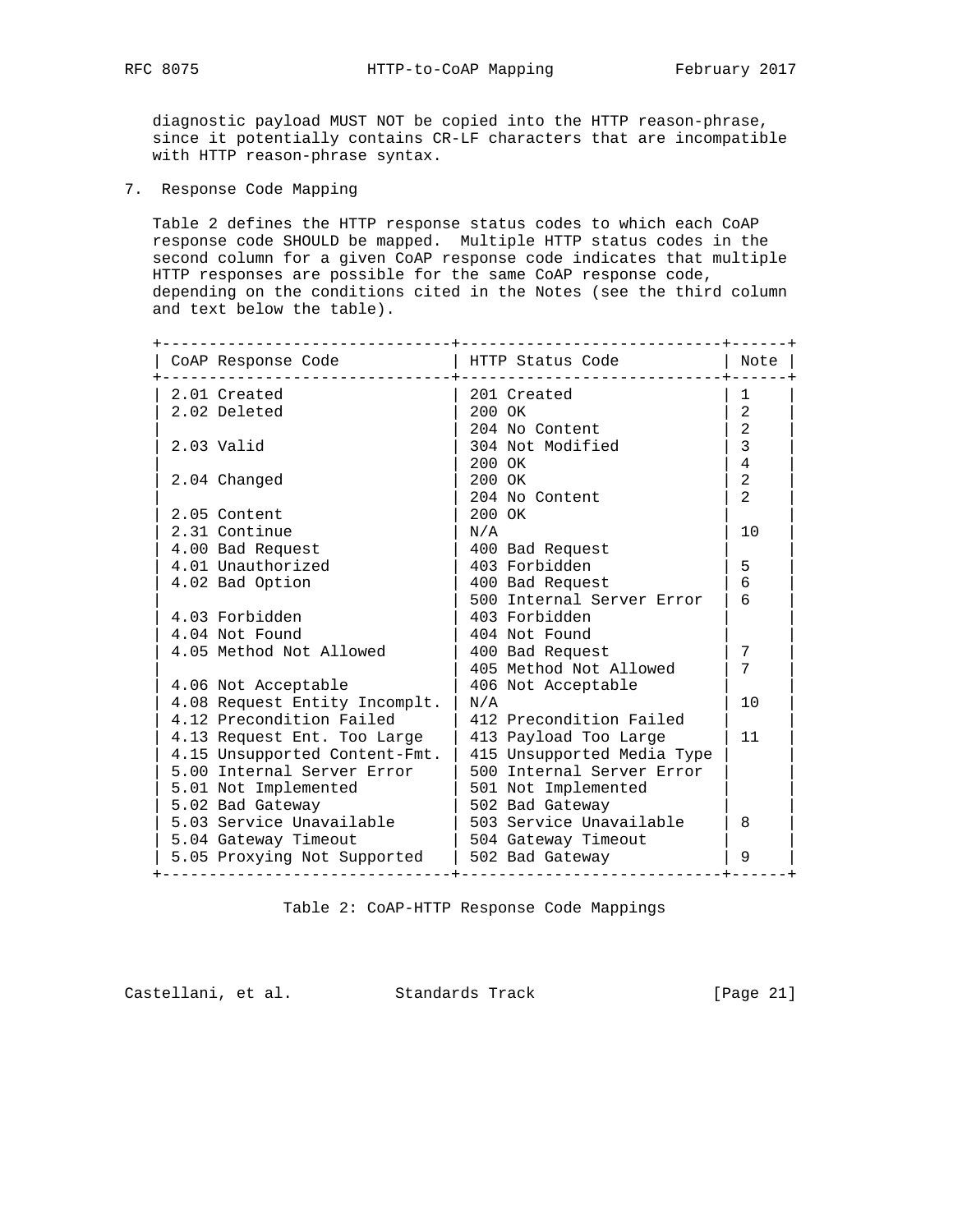diagnostic payload MUST NOT be copied into the HTTP reason-phrase, since it potentially contains CR-LF characters that are incompatible with HTTP reason-phrase syntax.

7. Response Code Mapping

 Table 2 defines the HTTP response status codes to which each CoAP response code SHOULD be mapped. Multiple HTTP status codes in the second column for a given CoAP response code indicates that multiple HTTP responses are possible for the same CoAP response code, depending on the conditions cited in the Notes (see the third column and text below the table).

| CoAP Response Code            | HTTP Status Code           | Note           |
|-------------------------------|----------------------------|----------------|
| 2.01 Created                  | 201 Created                | $\mathbf{1}$   |
| 2.02 Deleted                  | 200 OK                     | 2              |
|                               | 204 No Content             | 2              |
| $2.03$ Valid                  | 304 Not Modified           | 3              |
|                               | $200 \Omega K$             | $\overline{4}$ |
| 2.04 Changed                  | 200 OK                     | 2              |
|                               | 204 No Content             | $\overline{a}$ |
| 2.05 Content                  | 200 OK                     |                |
| 2.31 Continue                 | N/A                        | 10             |
| 4.00 Bad Request              | 400 Bad Request            |                |
| 4.01 Unauthorized             | 403 Forbidden              | 5              |
| 4.02 Bad Option               | 400 Bad Request            | 6              |
|                               | 500 Internal Server Error  | 6              |
| 4.03 Forbidden                | 403 Forbidden              |                |
| 4.04 Not Found                | 404 Not Found              |                |
| 4.05 Method Not Allowed       | 400 Bad Request            | 7              |
|                               | 405 Method Not Allowed     | 7              |
| 4.06 Not Acceptable           | 406 Not Acceptable         |                |
| 4.08 Request Entity Incomplt. | N/A                        | 10             |
| 4.12 Precondition Failed      | 412 Precondition Failed    |                |
| 4.13 Request Ent. Too Large   | 413 Payload Too Large      | 11             |
| 4.15 Unsupported Content-Fmt. | 415 Unsupported Media Type |                |
| 5.00 Internal Server Error    | 500 Internal Server Error  |                |
| 5.01 Not Implemented          | 501 Not Implemented        |                |
| 5.02 Bad Gateway              | 502 Bad Gateway            |                |
| 5.03 Service Unavailable      | 503 Service Unavailable    | 8              |
| 5.04 Gateway Timeout          | 504 Gateway Timeout        |                |
| 5.05 Proxying Not Supported   | 502 Bad Gateway            | 9              |

Table 2: CoAP-HTTP Response Code Mappings

Castellani, et al. Standards Track [Page 21]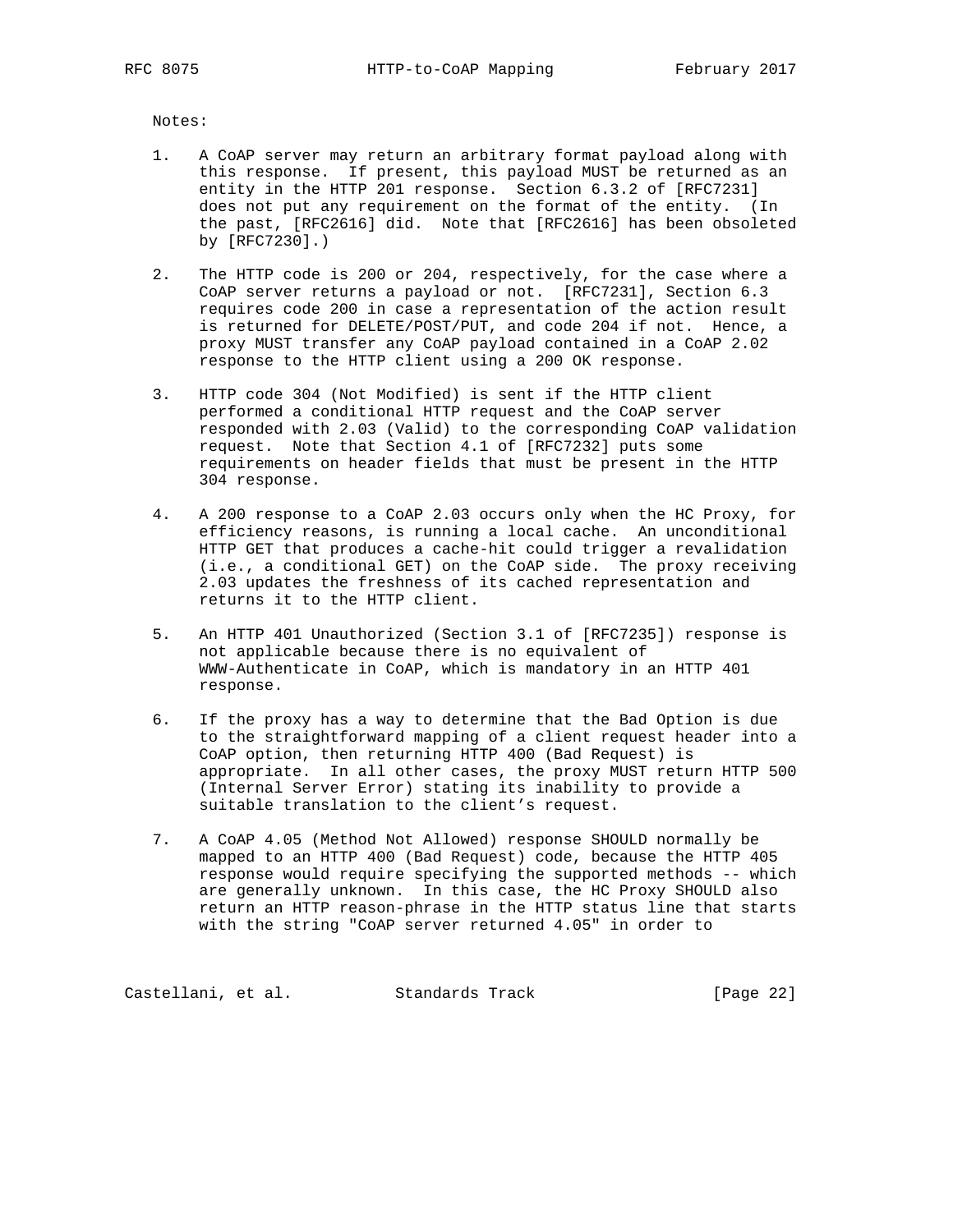Notes:

- 1. A CoAP server may return an arbitrary format payload along with this response. If present, this payload MUST be returned as an entity in the HTTP 201 response. Section 6.3.2 of [RFC7231] does not put any requirement on the format of the entity. (In the past, [RFC2616] did. Note that [RFC2616] has been obsoleted by [RFC7230].)
- 2. The HTTP code is 200 or 204, respectively, for the case where a CoAP server returns a payload or not. [RFC7231], Section 6.3 requires code 200 in case a representation of the action result is returned for DELETE/POST/PUT, and code 204 if not. Hence, a proxy MUST transfer any CoAP payload contained in a CoAP 2.02 response to the HTTP client using a 200 OK response.
- 3. HTTP code 304 (Not Modified) is sent if the HTTP client performed a conditional HTTP request and the CoAP server responded with 2.03 (Valid) to the corresponding CoAP validation request. Note that Section 4.1 of [RFC7232] puts some requirements on header fields that must be present in the HTTP 304 response.
- 4. A 200 response to a CoAP 2.03 occurs only when the HC Proxy, for efficiency reasons, is running a local cache. An unconditional HTTP GET that produces a cache-hit could trigger a revalidation (i.e., a conditional GET) on the CoAP side. The proxy receiving 2.03 updates the freshness of its cached representation and returns it to the HTTP client.
- 5. An HTTP 401 Unauthorized (Section 3.1 of [RFC7235]) response is not applicable because there is no equivalent of WWW-Authenticate in CoAP, which is mandatory in an HTTP 401 response.
- 6. If the proxy has a way to determine that the Bad Option is due to the straightforward mapping of a client request header into a CoAP option, then returning HTTP 400 (Bad Request) is appropriate. In all other cases, the proxy MUST return HTTP 500 (Internal Server Error) stating its inability to provide a suitable translation to the client's request.
- 7. A CoAP 4.05 (Method Not Allowed) response SHOULD normally be mapped to an HTTP 400 (Bad Request) code, because the HTTP 405 response would require specifying the supported methods -- which are generally unknown. In this case, the HC Proxy SHOULD also return an HTTP reason-phrase in the HTTP status line that starts with the string "CoAP server returned 4.05" in order to

Castellani, et al. Standards Track [Page 22]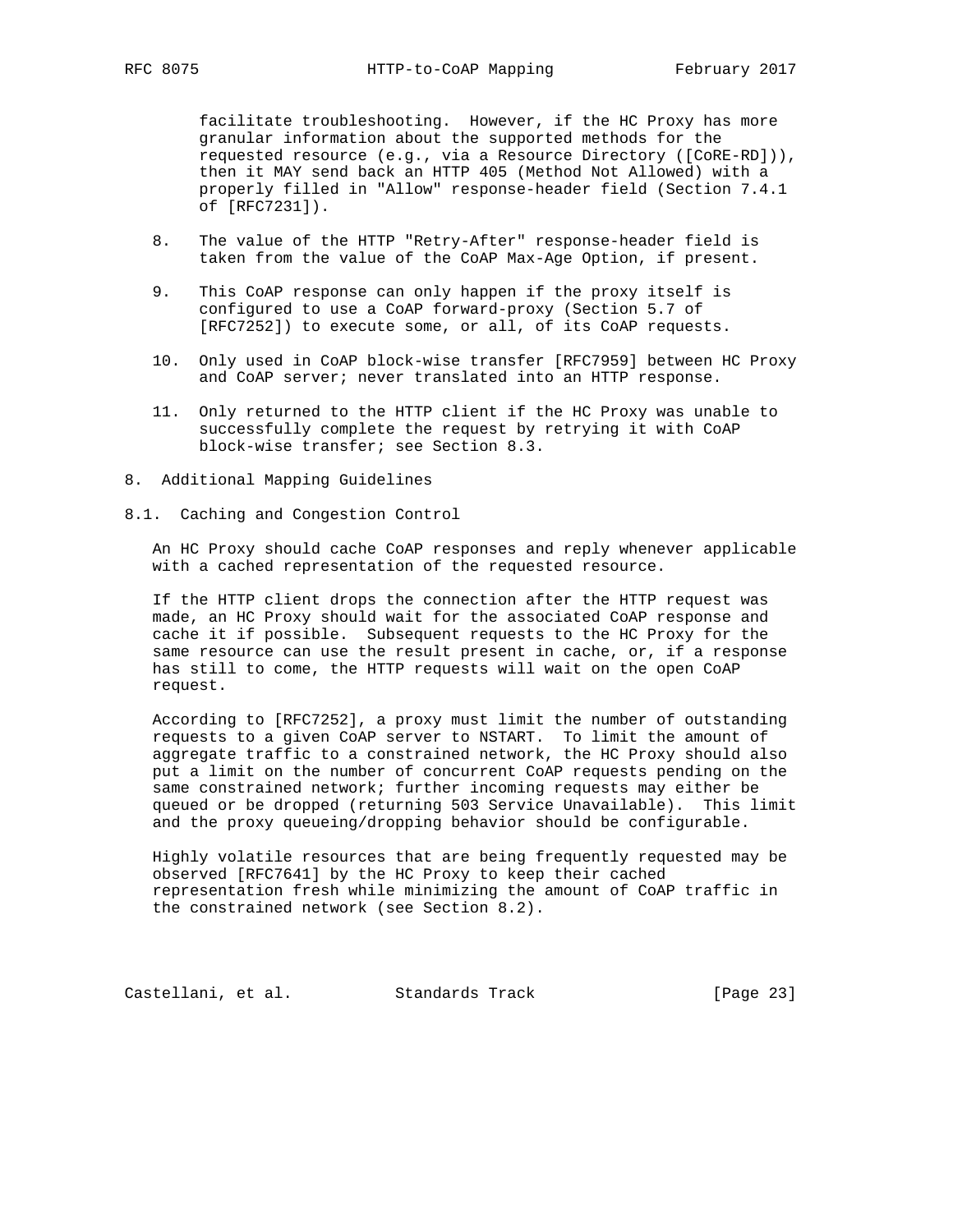facilitate troubleshooting. However, if the HC Proxy has more granular information about the supported methods for the requested resource (e.g., via a Resource Directory ([CoRE-RD])), then it MAY send back an HTTP 405 (Method Not Allowed) with a properly filled in "Allow" response-header field (Section 7.4.1 of [RFC7231]).

- 8. The value of the HTTP "Retry-After" response-header field is taken from the value of the CoAP Max-Age Option, if present.
- 9. This CoAP response can only happen if the proxy itself is configured to use a CoAP forward-proxy (Section 5.7 of [RFC7252]) to execute some, or all, of its CoAP requests.
- 10. Only used in CoAP block-wise transfer [RFC7959] between HC Proxy and CoAP server; never translated into an HTTP response.
- 11. Only returned to the HTTP client if the HC Proxy was unable to successfully complete the request by retrying it with CoAP block-wise transfer; see Section 8.3.
- 8. Additional Mapping Guidelines
- 8.1. Caching and Congestion Control

 An HC Proxy should cache CoAP responses and reply whenever applicable with a cached representation of the requested resource.

 If the HTTP client drops the connection after the HTTP request was made, an HC Proxy should wait for the associated CoAP response and cache it if possible. Subsequent requests to the HC Proxy for the same resource can use the result present in cache, or, if a response has still to come, the HTTP requests will wait on the open CoAP request.

 According to [RFC7252], a proxy must limit the number of outstanding requests to a given CoAP server to NSTART. To limit the amount of aggregate traffic to a constrained network, the HC Proxy should also put a limit on the number of concurrent CoAP requests pending on the same constrained network; further incoming requests may either be queued or be dropped (returning 503 Service Unavailable). This limit and the proxy queueing/dropping behavior should be configurable.

 Highly volatile resources that are being frequently requested may be observed [RFC7641] by the HC Proxy to keep their cached representation fresh while minimizing the amount of CoAP traffic in the constrained network (see Section 8.2).

Castellani, et al. Standards Track [Page 23]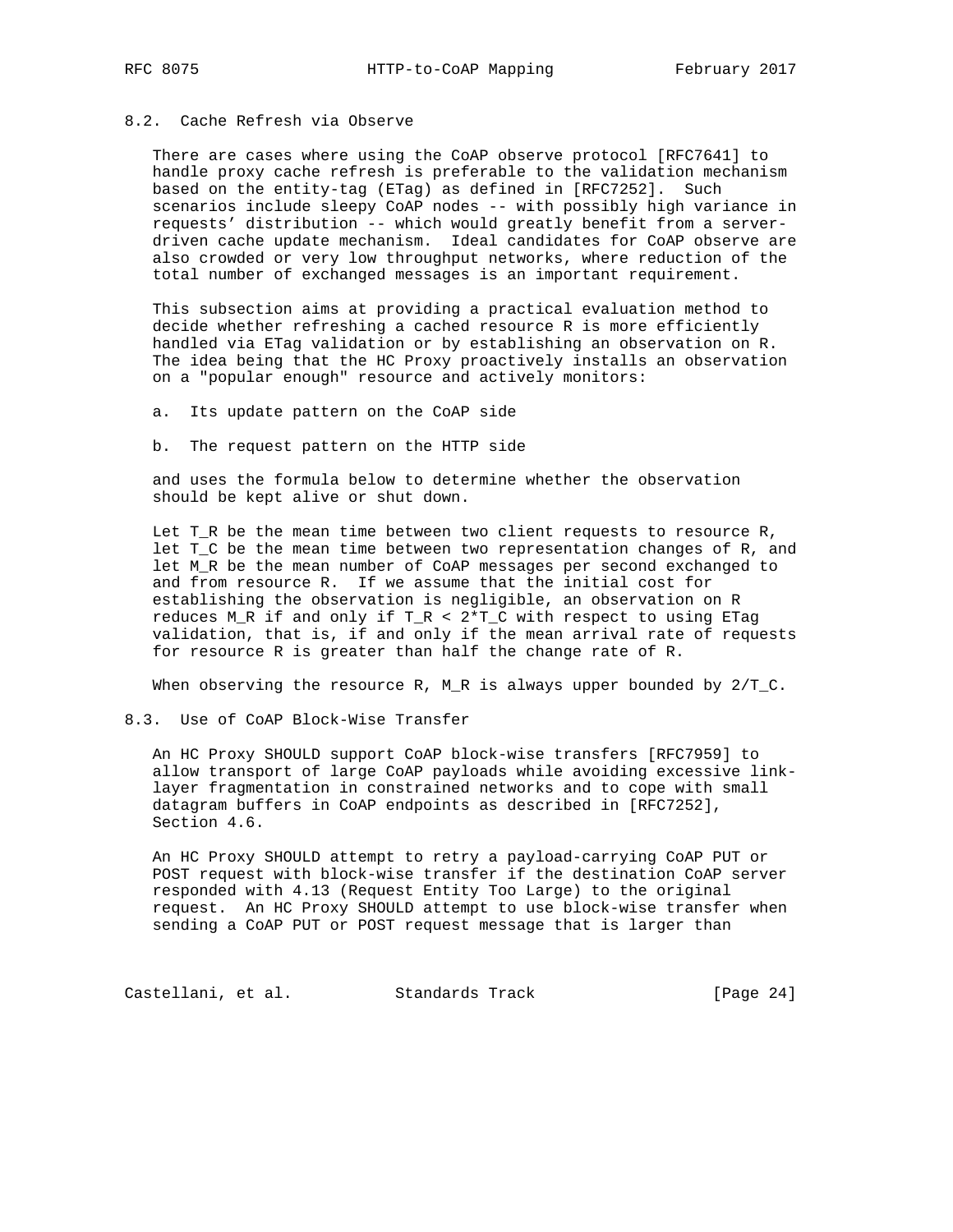## 8.2. Cache Refresh via Observe

 There are cases where using the CoAP observe protocol [RFC7641] to handle proxy cache refresh is preferable to the validation mechanism based on the entity-tag (ETag) as defined in [RFC7252]. Such scenarios include sleepy CoAP nodes -- with possibly high variance in requests' distribution -- which would greatly benefit from a server driven cache update mechanism. Ideal candidates for CoAP observe are also crowded or very low throughput networks, where reduction of the total number of exchanged messages is an important requirement.

 This subsection aims at providing a practical evaluation method to decide whether refreshing a cached resource R is more efficiently handled via ETag validation or by establishing an observation on R. The idea being that the HC Proxy proactively installs an observation on a "popular enough" resource and actively monitors:

a. Its update pattern on the CoAP side

b. The request pattern on the HTTP side

 and uses the formula below to determine whether the observation should be kept alive or shut down.

 Let T\_R be the mean time between two client requests to resource R, let T\_C be the mean time between two representation changes of R, and let M\_R be the mean number of CoAP messages per second exchanged to and from resource R. If we assume that the initial cost for establishing the observation is negligible, an observation on R reduces M\_R if and only if T\_R < 2\*T\_C with respect to using ETag validation, that is, if and only if the mean arrival rate of requests for resource R is greater than half the change rate of R.

When observing the resource R, M R is always upper bounded by  $2/T$  C.

8.3. Use of CoAP Block-Wise Transfer

 An HC Proxy SHOULD support CoAP block-wise transfers [RFC7959] to allow transport of large CoAP payloads while avoiding excessive link layer fragmentation in constrained networks and to cope with small datagram buffers in CoAP endpoints as described in [RFC7252], Section 4.6.

 An HC Proxy SHOULD attempt to retry a payload-carrying CoAP PUT or POST request with block-wise transfer if the destination CoAP server responded with 4.13 (Request Entity Too Large) to the original request. An HC Proxy SHOULD attempt to use block-wise transfer when sending a CoAP PUT or POST request message that is larger than

Castellani, et al. Standards Track [Page 24]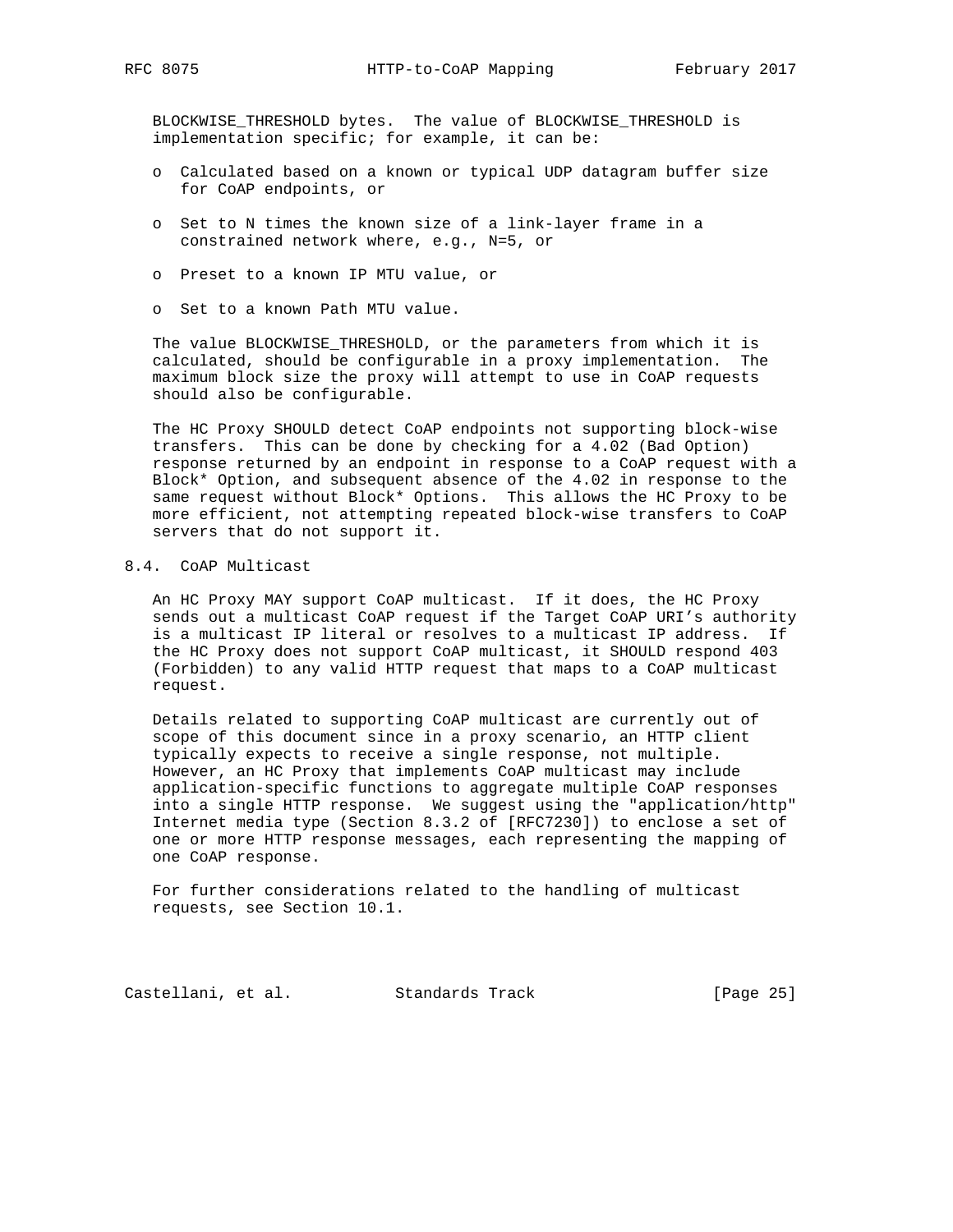BLOCKWISE\_THRESHOLD bytes. The value of BLOCKWISE\_THRESHOLD is implementation specific; for example, it can be:

- o Calculated based on a known or typical UDP datagram buffer size for CoAP endpoints, or
- o Set to N times the known size of a link-layer frame in a constrained network where, e.g., N=5, or
- o Preset to a known IP MTU value, or
- o Set to a known Path MTU value.

 The value BLOCKWISE\_THRESHOLD, or the parameters from which it is calculated, should be configurable in a proxy implementation. The maximum block size the proxy will attempt to use in CoAP requests should also be configurable.

 The HC Proxy SHOULD detect CoAP endpoints not supporting block-wise transfers. This can be done by checking for a 4.02 (Bad Option) response returned by an endpoint in response to a CoAP request with a Block\* Option, and subsequent absence of the 4.02 in response to the same request without Block\* Options. This allows the HC Proxy to be more efficient, not attempting repeated block-wise transfers to CoAP servers that do not support it.

# 8.4. CoAP Multicast

 An HC Proxy MAY support CoAP multicast. If it does, the HC Proxy sends out a multicast CoAP request if the Target CoAP URI's authority is a multicast IP literal or resolves to a multicast IP address. If the HC Proxy does not support CoAP multicast, it SHOULD respond 403 (Forbidden) to any valid HTTP request that maps to a CoAP multicast request.

 Details related to supporting CoAP multicast are currently out of scope of this document since in a proxy scenario, an HTTP client typically expects to receive a single response, not multiple. However, an HC Proxy that implements CoAP multicast may include application-specific functions to aggregate multiple CoAP responses into a single HTTP response. We suggest using the "application/http" Internet media type (Section 8.3.2 of [RFC7230]) to enclose a set of one or more HTTP response messages, each representing the mapping of one CoAP response.

 For further considerations related to the handling of multicast requests, see Section 10.1.

Castellani, et al. Standards Track [Page 25]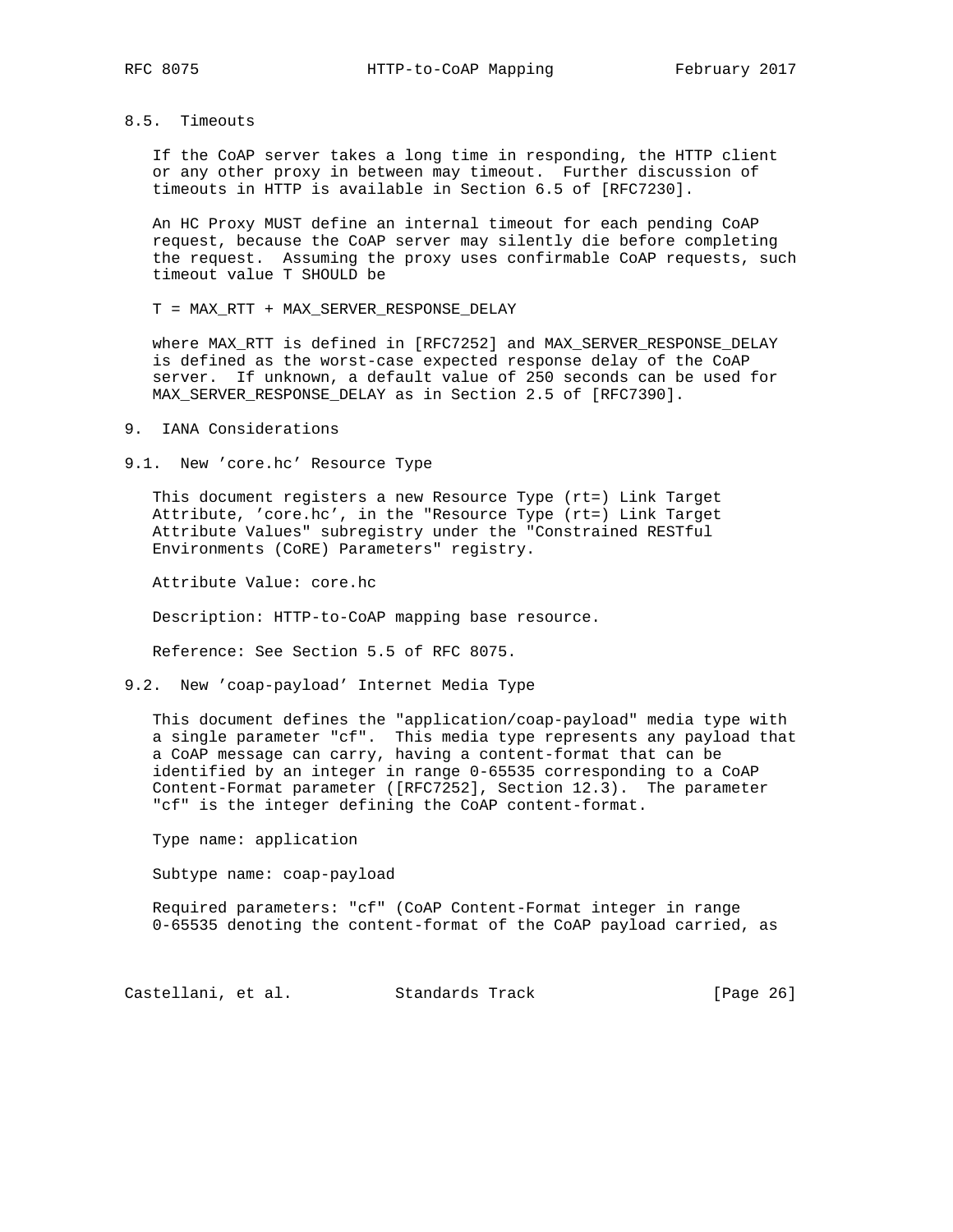## 8.5. Timeouts

 If the CoAP server takes a long time in responding, the HTTP client or any other proxy in between may timeout. Further discussion of timeouts in HTTP is available in Section 6.5 of [RFC7230].

 An HC Proxy MUST define an internal timeout for each pending CoAP request, because the CoAP server may silently die before completing the request. Assuming the proxy uses confirmable CoAP requests, such timeout value T SHOULD be

T = MAX\_RTT + MAX\_SERVER\_RESPONSE\_DELAY

 where MAX\_RTT is defined in [RFC7252] and MAX\_SERVER\_RESPONSE\_DELAY is defined as the worst-case expected response delay of the CoAP server. If unknown, a default value of 250 seconds can be used for MAX\_SERVER\_RESPONSE\_DELAY as in Section 2.5 of [RFC7390].

9. IANA Considerations

9.1. New 'core.hc' Resource Type

 This document registers a new Resource Type (rt=) Link Target Attribute, 'core.hc', in the "Resource Type (rt=) Link Target Attribute Values" subregistry under the "Constrained RESTful Environments (CoRE) Parameters" registry.

Attribute Value: core.hc

Description: HTTP-to-CoAP mapping base resource.

Reference: See Section 5.5 of RFC 8075.

9.2. New 'coap-payload' Internet Media Type

 This document defines the "application/coap-payload" media type with a single parameter "cf". This media type represents any payload that a CoAP message can carry, having a content-format that can be identified by an integer in range 0-65535 corresponding to a CoAP Content-Format parameter ([RFC7252], Section 12.3). The parameter "cf" is the integer defining the CoAP content-format.

Type name: application

Subtype name: coap-payload

 Required parameters: "cf" (CoAP Content-Format integer in range 0-65535 denoting the content-format of the CoAP payload carried, as

Castellani, et al. Standards Track [Page 26]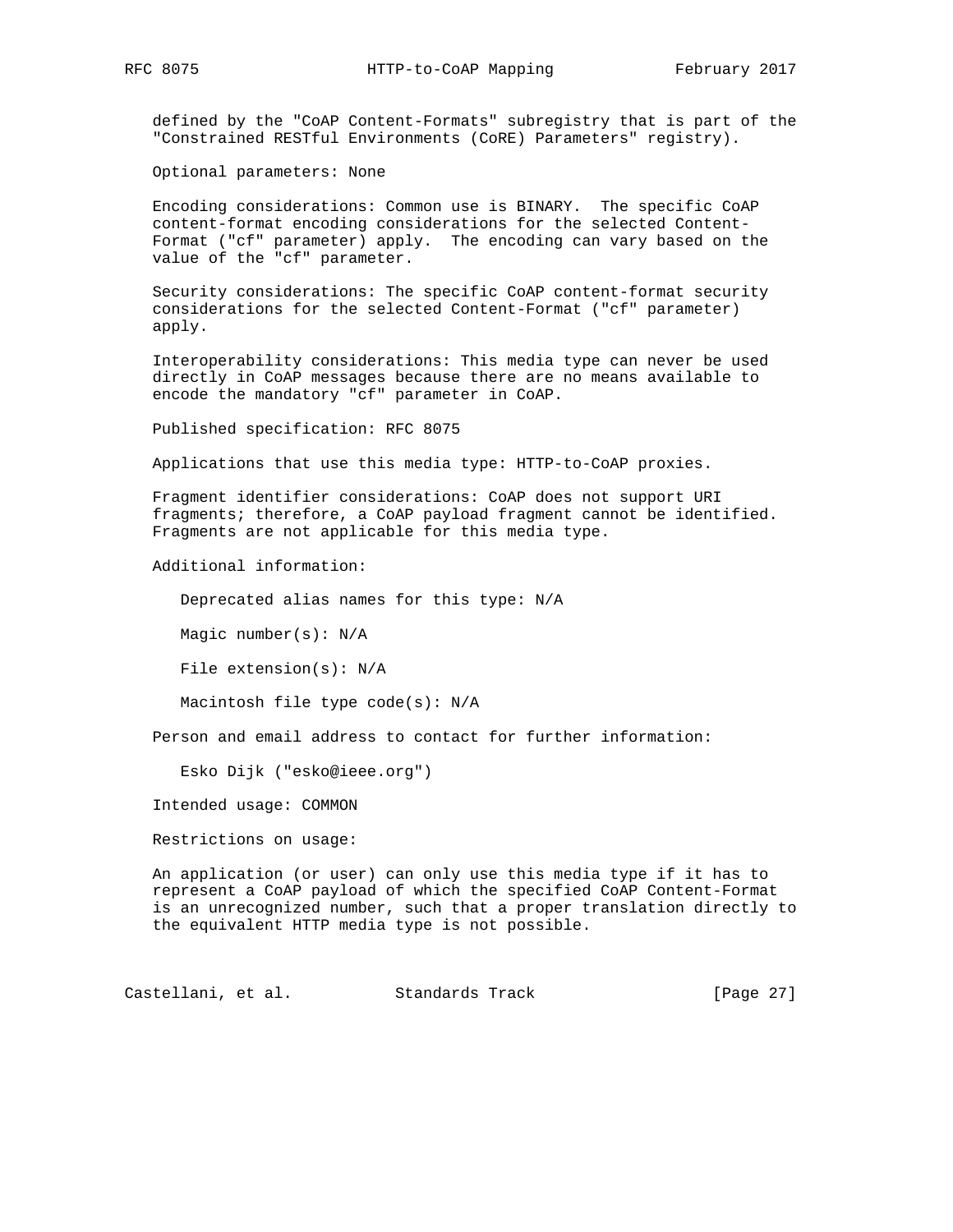defined by the "CoAP Content-Formats" subregistry that is part of the "Constrained RESTful Environments (CoRE) Parameters" registry).

Optional parameters: None

 Encoding considerations: Common use is BINARY. The specific CoAP content-format encoding considerations for the selected Content- Format ("cf" parameter) apply. The encoding can vary based on the value of the "cf" parameter.

 Security considerations: The specific CoAP content-format security considerations for the selected Content-Format ("cf" parameter) apply.

 Interoperability considerations: This media type can never be used directly in CoAP messages because there are no means available to encode the mandatory "cf" parameter in CoAP.

Published specification: RFC 8075

Applications that use this media type: HTTP-to-CoAP proxies.

 Fragment identifier considerations: CoAP does not support URI fragments; therefore, a CoAP payload fragment cannot be identified. Fragments are not applicable for this media type.

Additional information:

Deprecated alias names for this type: N/A

Magic number(s): N/A

File extension(s): N/A

Macintosh file type code(s): N/A

Person and email address to contact for further information:

Esko Dijk ("esko@ieee.org")

Intended usage: COMMON

Restrictions on usage:

 An application (or user) can only use this media type if it has to represent a CoAP payload of which the specified CoAP Content-Format is an unrecognized number, such that a proper translation directly to the equivalent HTTP media type is not possible.

Castellani, et al. Standards Track [Page 27]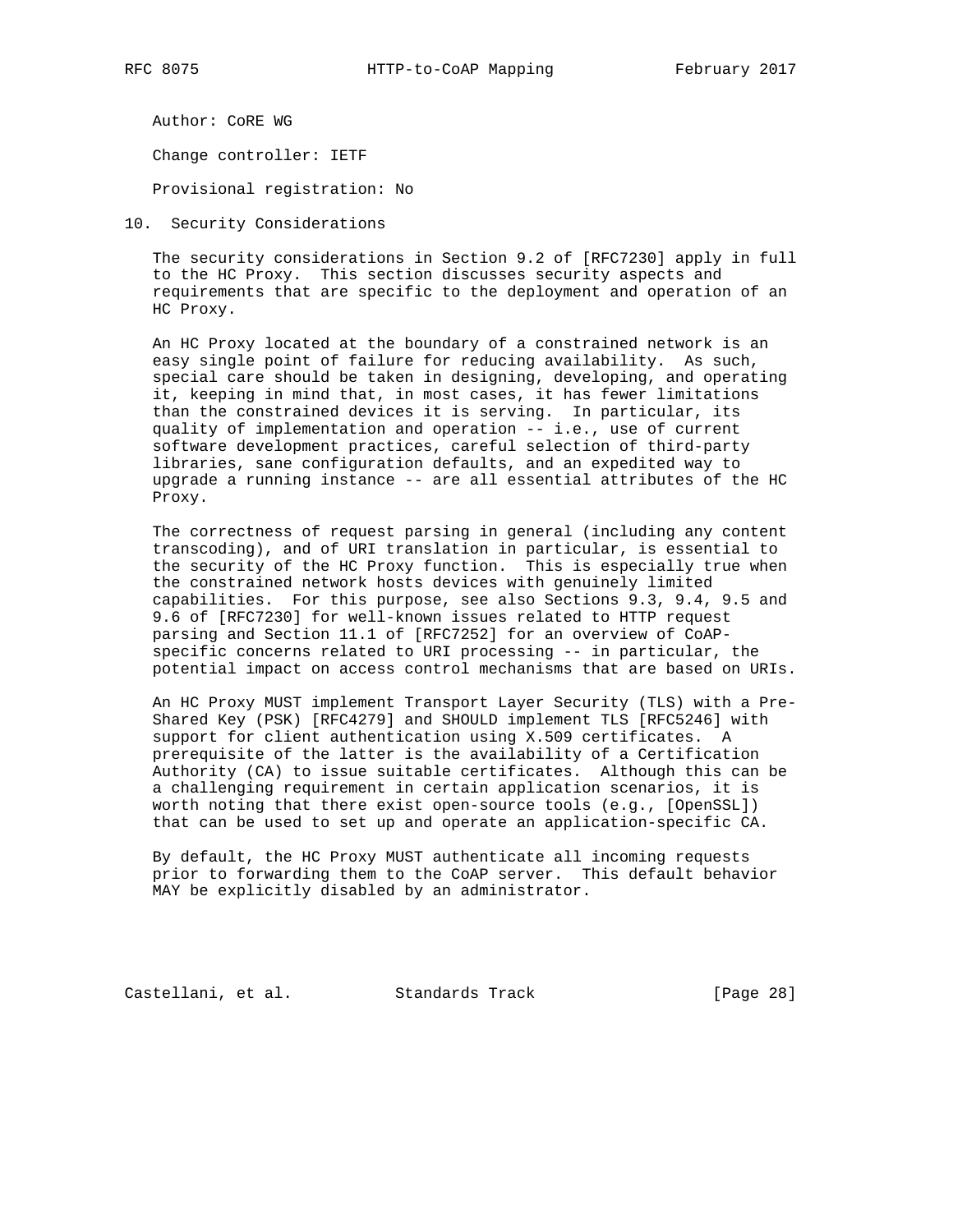Author: CoRE WG

Change controller: IETF

Provisional registration: No

10. Security Considerations

 The security considerations in Section 9.2 of [RFC7230] apply in full to the HC Proxy. This section discusses security aspects and requirements that are specific to the deployment and operation of an HC Proxy.

 An HC Proxy located at the boundary of a constrained network is an easy single point of failure for reducing availability. As such, special care should be taken in designing, developing, and operating it, keeping in mind that, in most cases, it has fewer limitations than the constrained devices it is serving. In particular, its quality of implementation and operation -- i.e., use of current software development practices, careful selection of third-party libraries, sane configuration defaults, and an expedited way to upgrade a running instance -- are all essential attributes of the HC Proxy.

 The correctness of request parsing in general (including any content transcoding), and of URI translation in particular, is essential to the security of the HC Proxy function. This is especially true when the constrained network hosts devices with genuinely limited capabilities. For this purpose, see also Sections 9.3, 9.4, 9.5 and 9.6 of [RFC7230] for well-known issues related to HTTP request parsing and Section 11.1 of [RFC7252] for an overview of CoAP specific concerns related to URI processing -- in particular, the potential impact on access control mechanisms that are based on URIs.

 An HC Proxy MUST implement Transport Layer Security (TLS) with a Pre- Shared Key (PSK) [RFC4279] and SHOULD implement TLS [RFC5246] with support for client authentication using X.509 certificates. A prerequisite of the latter is the availability of a Certification Authority (CA) to issue suitable certificates. Although this can be a challenging requirement in certain application scenarios, it is worth noting that there exist open-source tools (e.g., [OpenSSL]) that can be used to set up and operate an application-specific CA.

 By default, the HC Proxy MUST authenticate all incoming requests prior to forwarding them to the CoAP server. This default behavior MAY be explicitly disabled by an administrator.

Castellani, et al. Standards Track [Page 28]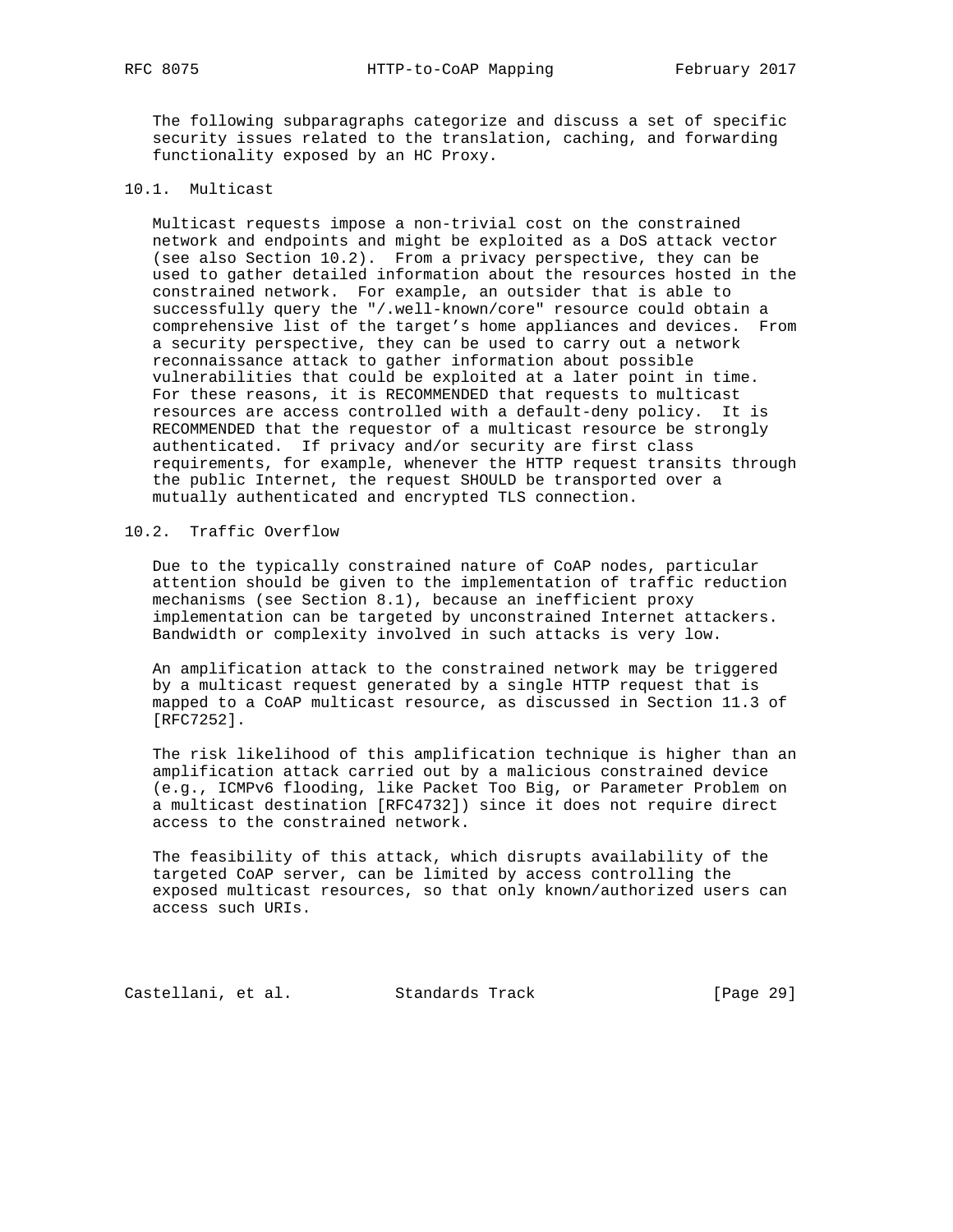The following subparagraphs categorize and discuss a set of specific security issues related to the translation, caching, and forwarding functionality exposed by an HC Proxy.

### 10.1. Multicast

 Multicast requests impose a non-trivial cost on the constrained network and endpoints and might be exploited as a DoS attack vector (see also Section 10.2). From a privacy perspective, they can be used to gather detailed information about the resources hosted in the constrained network. For example, an outsider that is able to successfully query the "/.well-known/core" resource could obtain a comprehensive list of the target's home appliances and devices. From a security perspective, they can be used to carry out a network reconnaissance attack to gather information about possible vulnerabilities that could be exploited at a later point in time. For these reasons, it is RECOMMENDED that requests to multicast resources are access controlled with a default-deny policy. It is RECOMMENDED that the requestor of a multicast resource be strongly authenticated. If privacy and/or security are first class requirements, for example, whenever the HTTP request transits through the public Internet, the request SHOULD be transported over a mutually authenticated and encrypted TLS connection.

## 10.2. Traffic Overflow

 Due to the typically constrained nature of CoAP nodes, particular attention should be given to the implementation of traffic reduction mechanisms (see Section 8.1), because an inefficient proxy implementation can be targeted by unconstrained Internet attackers. Bandwidth or complexity involved in such attacks is very low.

 An amplification attack to the constrained network may be triggered by a multicast request generated by a single HTTP request that is mapped to a CoAP multicast resource, as discussed in Section 11.3 of [RFC7252].

 The risk likelihood of this amplification technique is higher than an amplification attack carried out by a malicious constrained device (e.g., ICMPv6 flooding, like Packet Too Big, or Parameter Problem on a multicast destination [RFC4732]) since it does not require direct access to the constrained network.

 The feasibility of this attack, which disrupts availability of the targeted CoAP server, can be limited by access controlling the exposed multicast resources, so that only known/authorized users can access such URIs.

Castellani, et al. Standards Track [Page 29]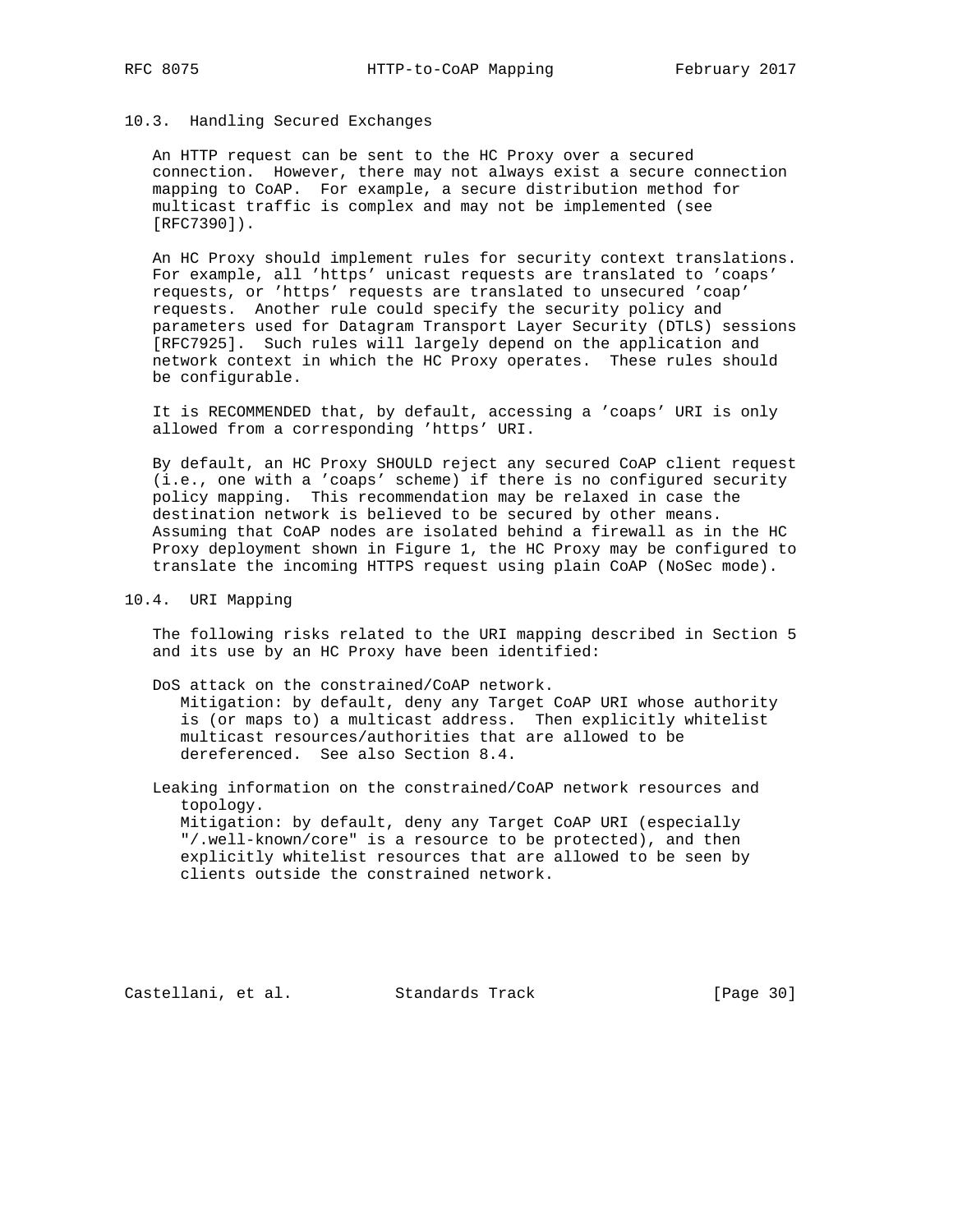## 10.3. Handling Secured Exchanges

 An HTTP request can be sent to the HC Proxy over a secured connection. However, there may not always exist a secure connection mapping to CoAP. For example, a secure distribution method for multicast traffic is complex and may not be implemented (see [RFC7390]).

 An HC Proxy should implement rules for security context translations. For example, all 'https' unicast requests are translated to 'coaps' requests, or 'https' requests are translated to unsecured 'coap' requests. Another rule could specify the security policy and parameters used for Datagram Transport Layer Security (DTLS) sessions [RFC7925]. Such rules will largely depend on the application and network context in which the HC Proxy operates. These rules should be configurable.

 It is RECOMMENDED that, by default, accessing a 'coaps' URI is only allowed from a corresponding 'https' URI.

 By default, an HC Proxy SHOULD reject any secured CoAP client request (i.e., one with a 'coaps' scheme) if there is no configured security policy mapping. This recommendation may be relaxed in case the destination network is believed to be secured by other means. Assuming that CoAP nodes are isolated behind a firewall as in the HC Proxy deployment shown in Figure 1, the HC Proxy may be configured to translate the incoming HTTPS request using plain CoAP (NoSec mode).

10.4. URI Mapping

 The following risks related to the URI mapping described in Section 5 and its use by an HC Proxy have been identified:

 DoS attack on the constrained/CoAP network. Mitigation: by default, deny any Target CoAP URI whose authority is (or maps to) a multicast address. Then explicitly whitelist multicast resources/authorities that are allowed to be dereferenced. See also Section 8.4.

 Leaking information on the constrained/CoAP network resources and topology. Mitigation: by default, deny any Target CoAP URI (especially "/.well-known/core" is a resource to be protected), and then explicitly whitelist resources that are allowed to be seen by clients outside the constrained network.

Castellani, et al. Standards Track [Page 30]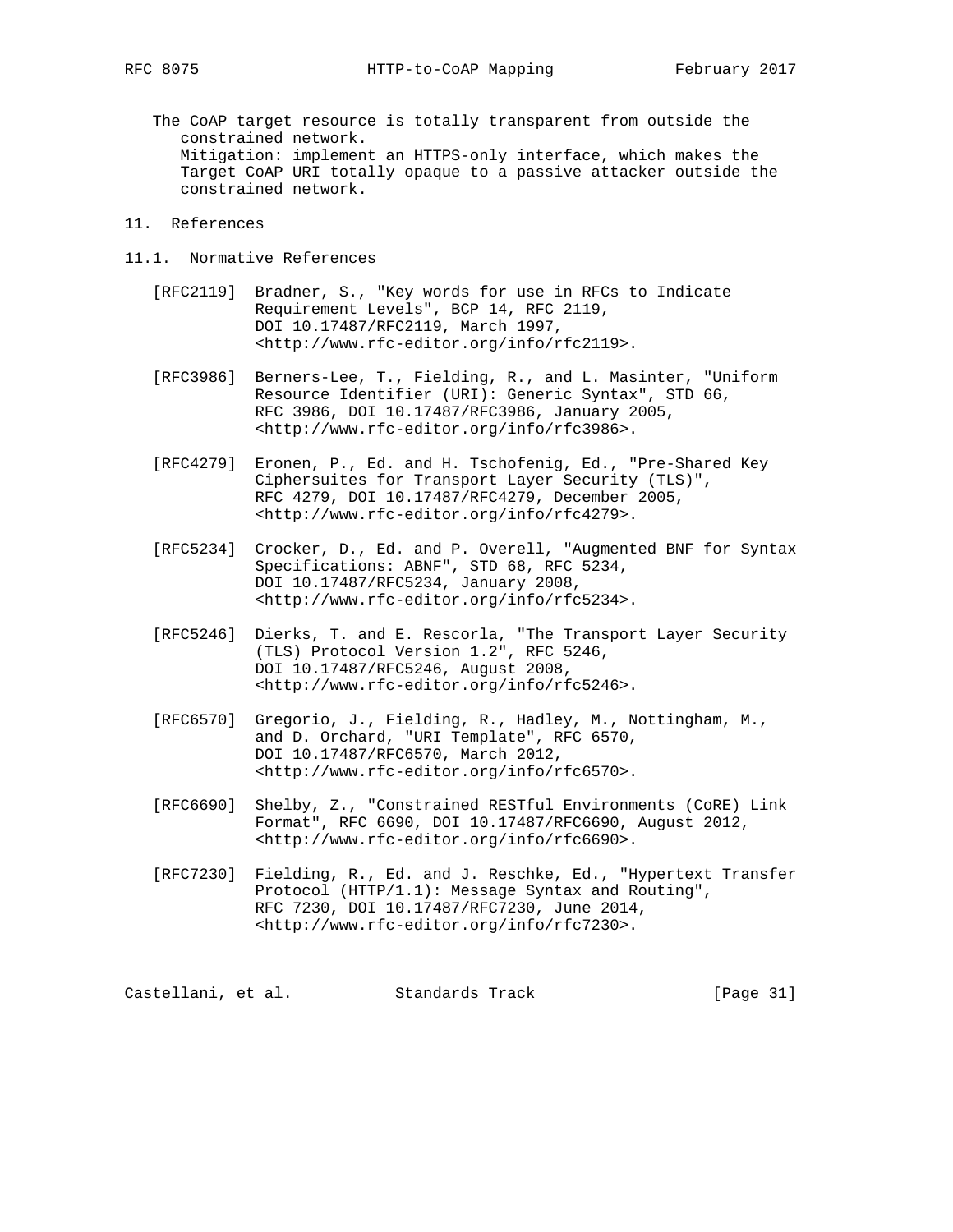The CoAP target resource is totally transparent from outside the constrained network. Mitigation: implement an HTTPS-only interface, which makes the Target CoAP URI totally opaque to a passive attacker outside the constrained network.

### 11. References

- 11.1. Normative References
	- [RFC2119] Bradner, S., "Key words for use in RFCs to Indicate Requirement Levels", BCP 14, RFC 2119, DOI 10.17487/RFC2119, March 1997, <http://www.rfc-editor.org/info/rfc2119>.
	- [RFC3986] Berners-Lee, T., Fielding, R., and L. Masinter, "Uniform Resource Identifier (URI): Generic Syntax", STD 66, RFC 3986, DOI 10.17487/RFC3986, January 2005, <http://www.rfc-editor.org/info/rfc3986>.
	- [RFC4279] Eronen, P., Ed. and H. Tschofenig, Ed., "Pre-Shared Key Ciphersuites for Transport Layer Security (TLS)", RFC 4279, DOI 10.17487/RFC4279, December 2005, <http://www.rfc-editor.org/info/rfc4279>.
- [RFC5234] Crocker, D., Ed. and P. Overell, "Augmented BNF for Syntax Specifications: ABNF", STD 68, RFC 5234, DOI 10.17487/RFC5234, January 2008, <http://www.rfc-editor.org/info/rfc5234>.
	- [RFC5246] Dierks, T. and E. Rescorla, "The Transport Layer Security (TLS) Protocol Version 1.2", RFC 5246, DOI 10.17487/RFC5246, August 2008, <http://www.rfc-editor.org/info/rfc5246>.
	- [RFC6570] Gregorio, J., Fielding, R., Hadley, M., Nottingham, M., and D. Orchard, "URI Template", RFC 6570, DOI 10.17487/RFC6570, March 2012, <http://www.rfc-editor.org/info/rfc6570>.
	- [RFC6690] Shelby, Z., "Constrained RESTful Environments (CoRE) Link Format", RFC 6690, DOI 10.17487/RFC6690, August 2012, <http://www.rfc-editor.org/info/rfc6690>.
	- [RFC7230] Fielding, R., Ed. and J. Reschke, Ed., "Hypertext Transfer Protocol (HTTP/1.1): Message Syntax and Routing", RFC 7230, DOI 10.17487/RFC7230, June 2014, <http://www.rfc-editor.org/info/rfc7230>.

Castellani, et al. Standards Track [Page 31]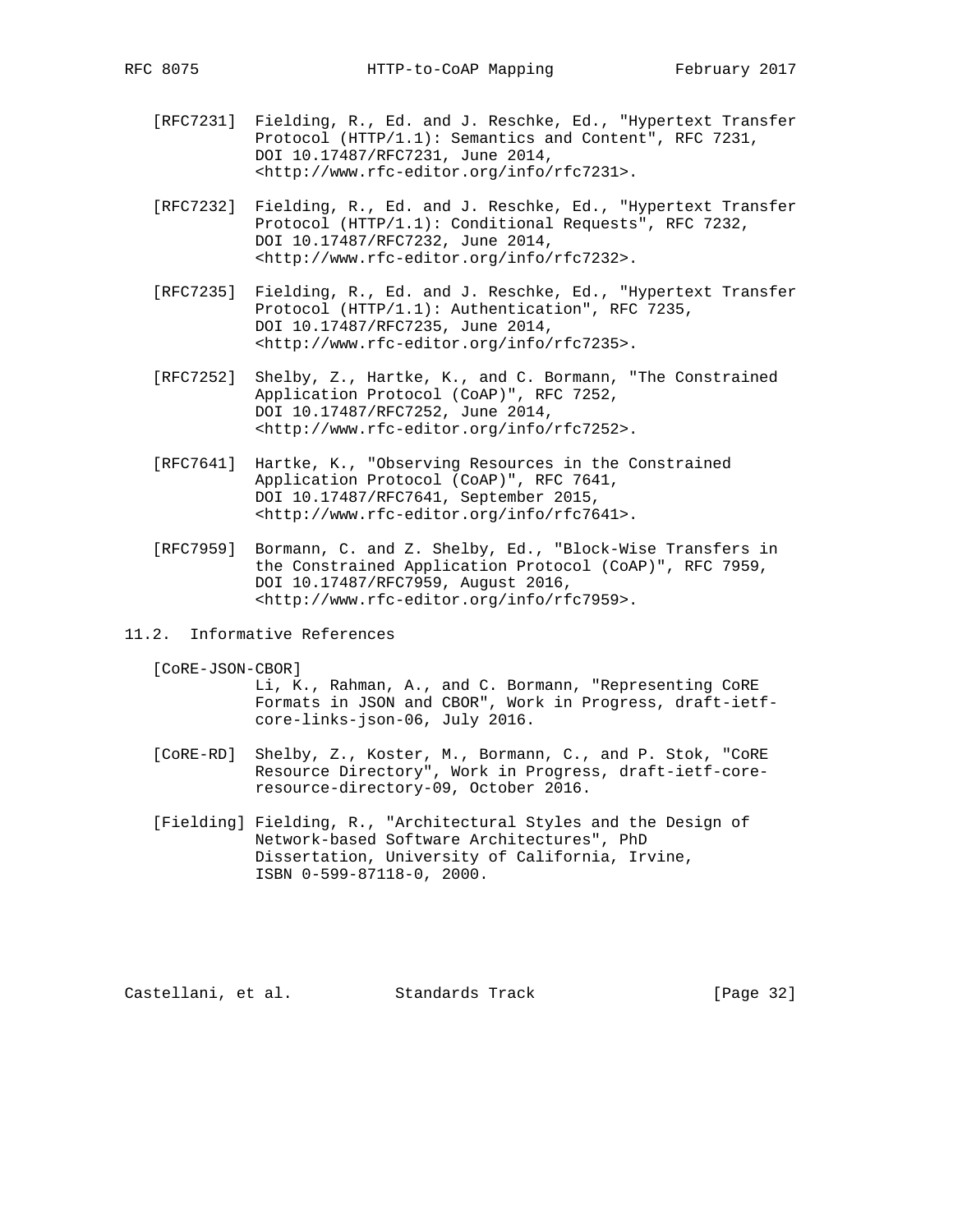- [RFC7231] Fielding, R., Ed. and J. Reschke, Ed., "Hypertext Transfer Protocol (HTTP/1.1): Semantics and Content", RFC 7231, DOI 10.17487/RFC7231, June 2014, <http://www.rfc-editor.org/info/rfc7231>.
- [RFC7232] Fielding, R., Ed. and J. Reschke, Ed., "Hypertext Transfer Protocol (HTTP/1.1): Conditional Requests", RFC 7232, DOI 10.17487/RFC7232, June 2014, <http://www.rfc-editor.org/info/rfc7232>.
- [RFC7235] Fielding, R., Ed. and J. Reschke, Ed., "Hypertext Transfer Protocol (HTTP/1.1): Authentication", RFC 7235, DOI 10.17487/RFC7235, June 2014, <http://www.rfc-editor.org/info/rfc7235>.
- [RFC7252] Shelby, Z., Hartke, K., and C. Bormann, "The Constrained Application Protocol (CoAP)", RFC 7252, DOI 10.17487/RFC7252, June 2014, <http://www.rfc-editor.org/info/rfc7252>.
- [RFC7641] Hartke, K., "Observing Resources in the Constrained Application Protocol (CoAP)", RFC 7641, DOI 10.17487/RFC7641, September 2015, <http://www.rfc-editor.org/info/rfc7641>.
- [RFC7959] Bormann, C. and Z. Shelby, Ed., "Block-Wise Transfers in the Constrained Application Protocol (CoAP)", RFC 7959, DOI 10.17487/RFC7959, August 2016, <http://www.rfc-editor.org/info/rfc7959>.
- 11.2. Informative References

[CoRE-JSON-CBOR]

 Li, K., Rahman, A., and C. Bormann, "Representing CoRE Formats in JSON and CBOR", Work in Progress, draft-ietf core-links-json-06, July 2016.

- [CoRE-RD] Shelby, Z., Koster, M., Bormann, C., and P. Stok, "CoRE Resource Directory", Work in Progress, draft-ietf-core resource-directory-09, October 2016.
- [Fielding] Fielding, R., "Architectural Styles and the Design of Network-based Software Architectures", PhD Dissertation, University of California, Irvine, ISBN 0-599-87118-0, 2000.

Castellani, et al. Standards Track [Page 32]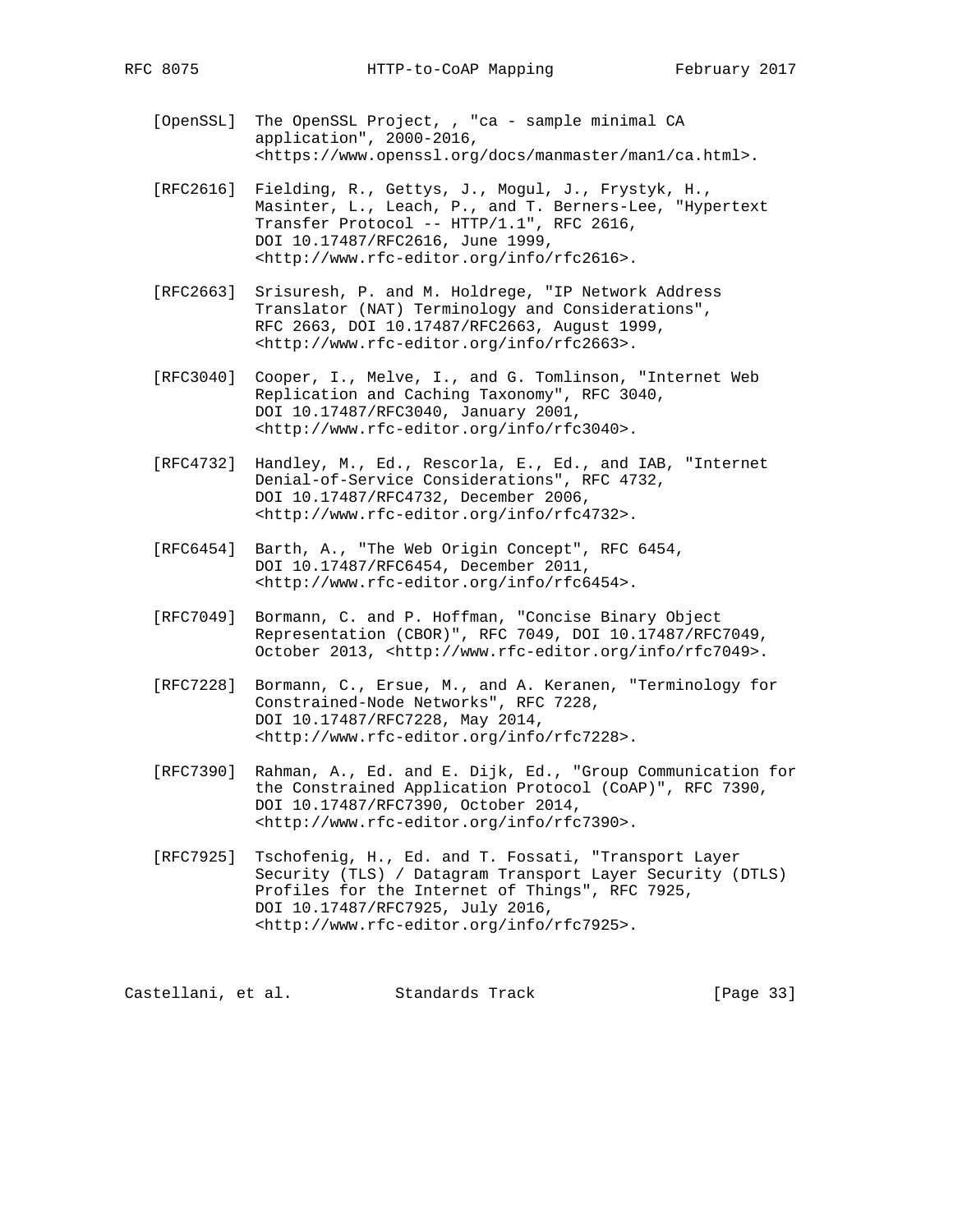- [OpenSSL] The OpenSSL Project, , "ca sample minimal CA application", 2000-2016, <https://www.openssl.org/docs/manmaster/man1/ca.html>.
- [RFC2616] Fielding, R., Gettys, J., Mogul, J., Frystyk, H., Masinter, L., Leach, P., and T. Berners-Lee, "Hypertext Transfer Protocol -- HTTP/1.1", RFC 2616, DOI 10.17487/RFC2616, June 1999, <http://www.rfc-editor.org/info/rfc2616>.
- [RFC2663] Srisuresh, P. and M. Holdrege, "IP Network Address Translator (NAT) Terminology and Considerations", RFC 2663, DOI 10.17487/RFC2663, August 1999, <http://www.rfc-editor.org/info/rfc2663>.
- [RFC3040] Cooper, I., Melve, I., and G. Tomlinson, "Internet Web Replication and Caching Taxonomy", RFC 3040, DOI 10.17487/RFC3040, January 2001, <http://www.rfc-editor.org/info/rfc3040>.
- [RFC4732] Handley, M., Ed., Rescorla, E., Ed., and IAB, "Internet Denial-of-Service Considerations", RFC 4732, DOI 10.17487/RFC4732, December 2006, <http://www.rfc-editor.org/info/rfc4732>.
- [RFC6454] Barth, A., "The Web Origin Concept", RFC 6454, DOI 10.17487/RFC6454, December 2011, <http://www.rfc-editor.org/info/rfc6454>.
- [RFC7049] Bormann, C. and P. Hoffman, "Concise Binary Object Representation (CBOR)", RFC 7049, DOI 10.17487/RFC7049, October 2013, <http://www.rfc-editor.org/info/rfc7049>.
- [RFC7228] Bormann, C., Ersue, M., and A. Keranen, "Terminology for Constrained-Node Networks", RFC 7228, DOI 10.17487/RFC7228, May 2014, <http://www.rfc-editor.org/info/rfc7228>.
- [RFC7390] Rahman, A., Ed. and E. Dijk, Ed., "Group Communication for the Constrained Application Protocol (CoAP)", RFC 7390, DOI 10.17487/RFC7390, October 2014, <http://www.rfc-editor.org/info/rfc7390>.
- [RFC7925] Tschofenig, H., Ed. and T. Fossati, "Transport Layer Security (TLS) / Datagram Transport Layer Security (DTLS) Profiles for the Internet of Things", RFC 7925, DOI 10.17487/RFC7925, July 2016, <http://www.rfc-editor.org/info/rfc7925>.

Castellani, et al. Standards Track [Page 33]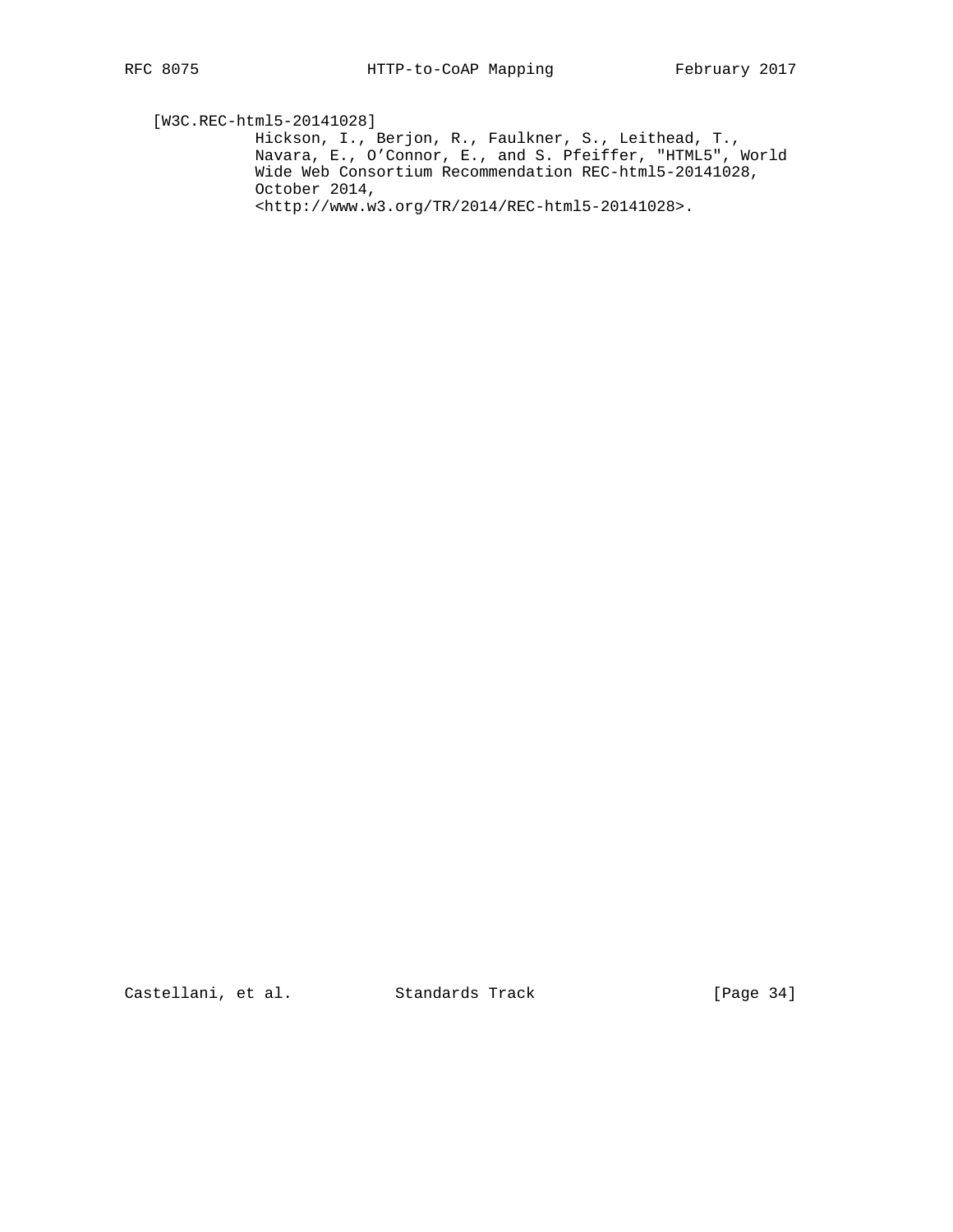[W3C.REC-html5-20141028]

 Hickson, I., Berjon, R., Faulkner, S., Leithead, T., Navara, E., O'Connor, E., and S. Pfeiffer, "HTML5", World Wide Web Consortium Recommendation REC-html5-20141028, October 2014, <http://www.w3.org/TR/2014/REC-html5-20141028>.

Castellani, et al. Standards Track [Page 34]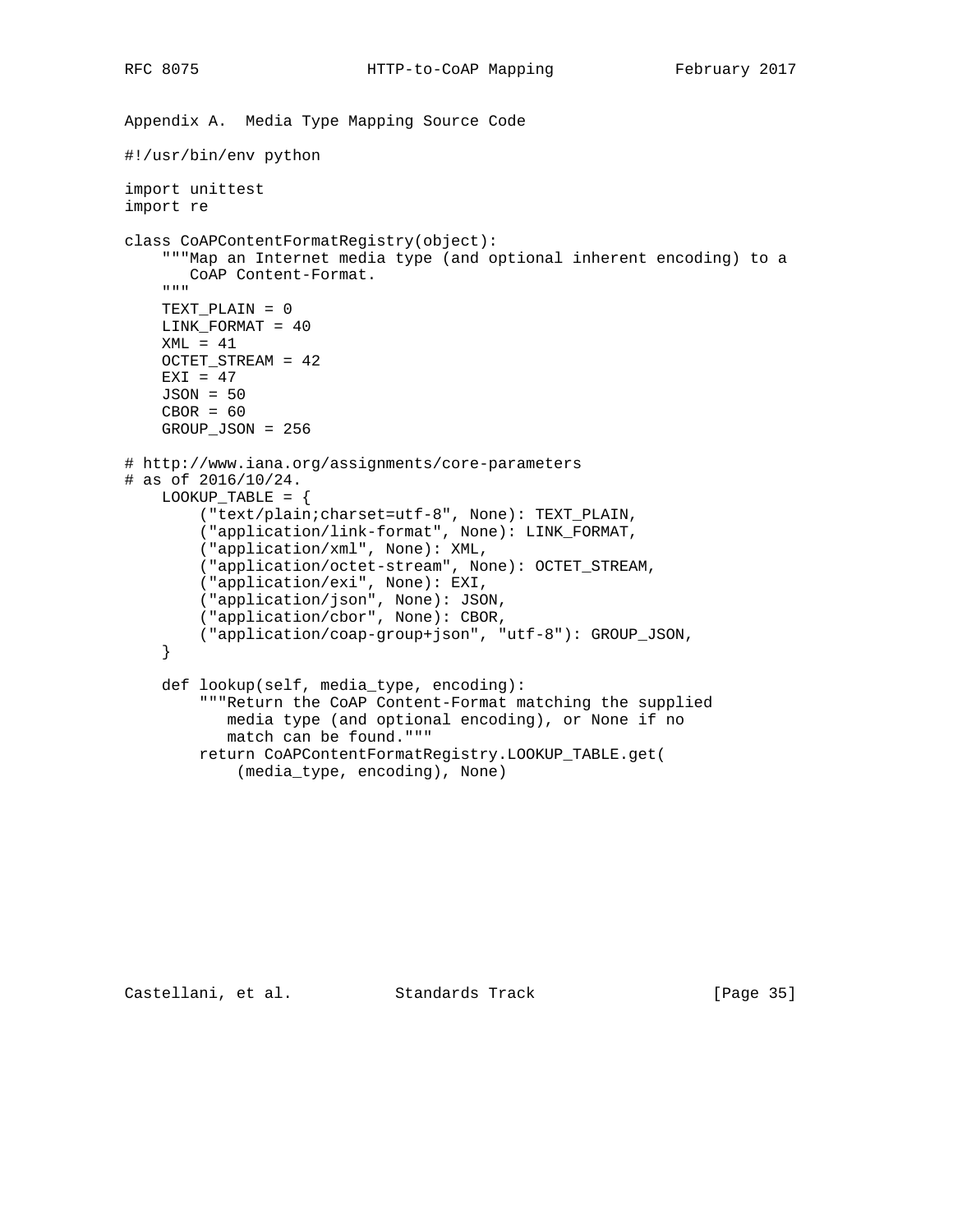```
Appendix A. Media Type Mapping Source Code
#!/usr/bin/env python
import unittest
import re
class CoAPContentFormatRegistry(object):
     """Map an Internet media type (and optional inherent encoding) to a
       CoAP Content-Format.
    \mathbf{u}^\top \mathbf{u}^\top \mathbf{u}^\top TEXT_PLAIN = 0
     LINK_FORMAT = 40
    XML = 41 OCTET_STREAM = 42
    EXI = 47 JSON = 50
    CBOR = 60 GROUP_JSON = 256
# http://www.iana.org/assignments/core-parameters
# as of 2016/10/24.
    LOOKUP\_TABLE = \{ ("text/plain;charset=utf-8", None): TEXT_PLAIN,
         ("application/link-format", None): LINK_FORMAT,
         ("application/xml", None): XML,
         ("application/octet-stream", None): OCTET_STREAM,
         ("application/exi", None): EXI,
         ("application/json", None): JSON,
         ("application/cbor", None): CBOR,
         ("application/coap-group+json", "utf-8"): GROUP_JSON,
     }
     def lookup(self, media_type, encoding):
         """Return the CoAP Content-Format matching the supplied
            media type (and optional encoding), or None if no
            match can be found."""
         return CoAPContentFormatRegistry.LOOKUP_TABLE.get(
```

```
 (media_type, encoding), None)
```
Castellani, et al. Standards Track [Page 35]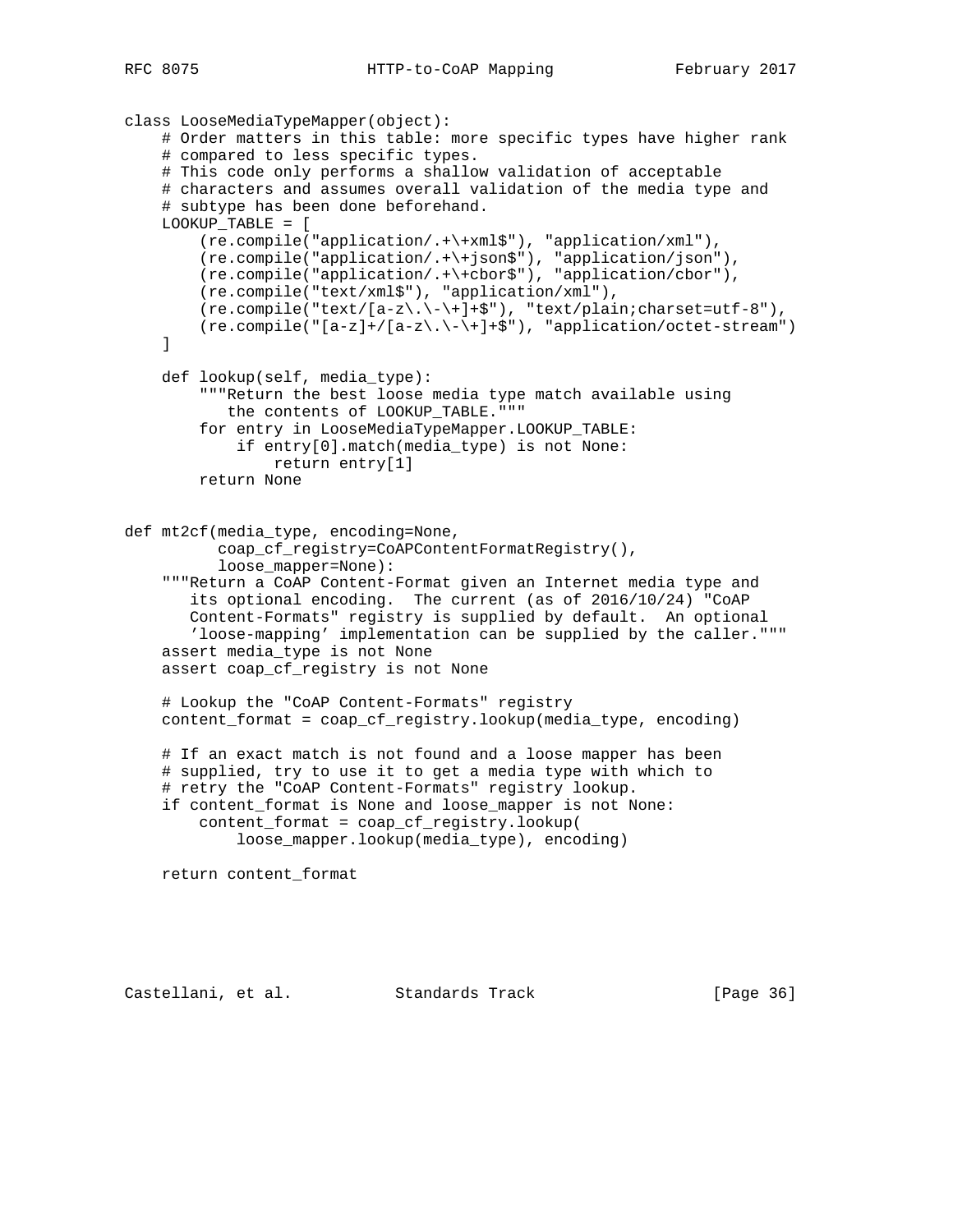```
class LooseMediaTypeMapper(object):
     # Order matters in this table: more specific types have higher rank
     # compared to less specific types.
     # This code only performs a shallow validation of acceptable
     # characters and assumes overall validation of the media type and
     # subtype has been done beforehand.
     LOOKUP_TABLE = [
         (re.compile("application/.+\+xml$"), "application/xml"),
         (re.compile("application/.+\+json$"), "application/json"),
         (re.compile("application/.+\+cbor$"), "application/cbor"),
         (re.compile("text/xml$"), "application/xml"),
        (re.compile("text/[a-z\.\{-\+]+\$"), "text/plain;charset=utf-8"),
        (re.compile("[a-z]+/[a-z\.\\-\\+]+$"), "application/octet-stream")
     ]
     def lookup(self, media_type):
         """Return the best loose media type match available using
            the contents of LOOKUP_TABLE."""
         for entry in LooseMediaTypeMapper.LOOKUP_TABLE:
            if entry[0].match(media_type) is not None:
                 return entry[1]
         return None
def mt2cf(media_type, encoding=None,
           coap_cf_registry=CoAPContentFormatRegistry(),
           loose_mapper=None):
     """Return a CoAP Content-Format given an Internet media type and
        its optional encoding. The current (as of 2016/10/24) "CoAP
        Content-Formats" registry is supplied by default. An optional
        'loose-mapping' implementation can be supplied by the caller."""
     assert media_type is not None
     assert coap_cf_registry is not None
     # Lookup the "CoAP Content-Formats" registry
     content_format = coap_cf_registry.lookup(media_type, encoding)
     # If an exact match is not found and a loose mapper has been
     # supplied, try to use it to get a media type with which to
     # retry the "CoAP Content-Formats" registry lookup.
     if content_format is None and loose_mapper is not None:
         content_format = coap_cf_registry.lookup(
             loose_mapper.lookup(media_type), encoding)
     return content_format
```
Castellani, et al. Standards Track [Page 36]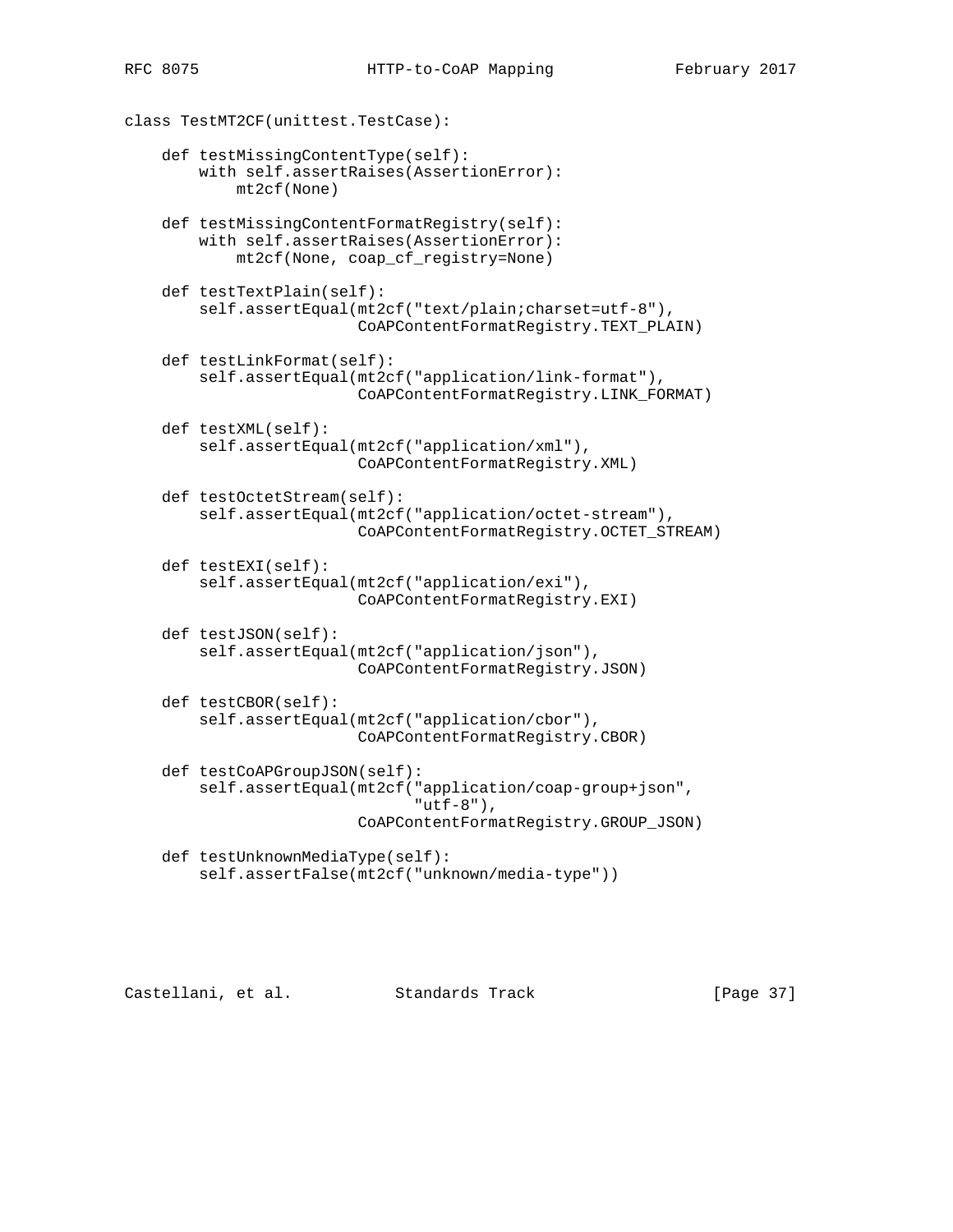class TestMT2CF(unittest.TestCase): def testMissingContentType(self): with self.assertRaises(AssertionError): mt2cf(None) def testMissingContentFormatRegistry(self): with self.assertRaises(AssertionError): mt2cf(None, coap\_cf\_registry=None) def testTextPlain(self): self.assertEqual(mt2cf("text/plain;charset=utf-8"), CoAPContentFormatRegistry.TEXT\_PLAIN) def testLinkFormat(self): self.assertEqual(mt2cf("application/link-format"), CoAPContentFormatRegistry.LINK\_FORMAT) def testXML(self): self.assertEqual(mt2cf("application/xml"), CoAPContentFormatRegistry.XML) def testOctetStream(self): self.assertEqual(mt2cf("application/octet-stream"), CoAPContentFormatRegistry.OCTET\_STREAM) def testEXI(self): self.assertEqual(mt2cf("application/exi"), CoAPContentFormatRegistry.EXI) def testJSON(self): self.assertEqual(mt2cf("application/json"), CoAPContentFormatRegistry.JSON) def testCBOR(self): self.assertEqual(mt2cf("application/cbor"), CoAPContentFormatRegistry.CBOR) def testCoAPGroupJSON(self): self.assertEqual(mt2cf("application/coap-group+json",  $"$ utf-8"), CoAPContentFormatRegistry.GROUP\_JSON) def testUnknownMediaType(self):

```
 self.assertFalse(mt2cf("unknown/media-type"))
```
Castellani, et al. Standards Track [Page 37]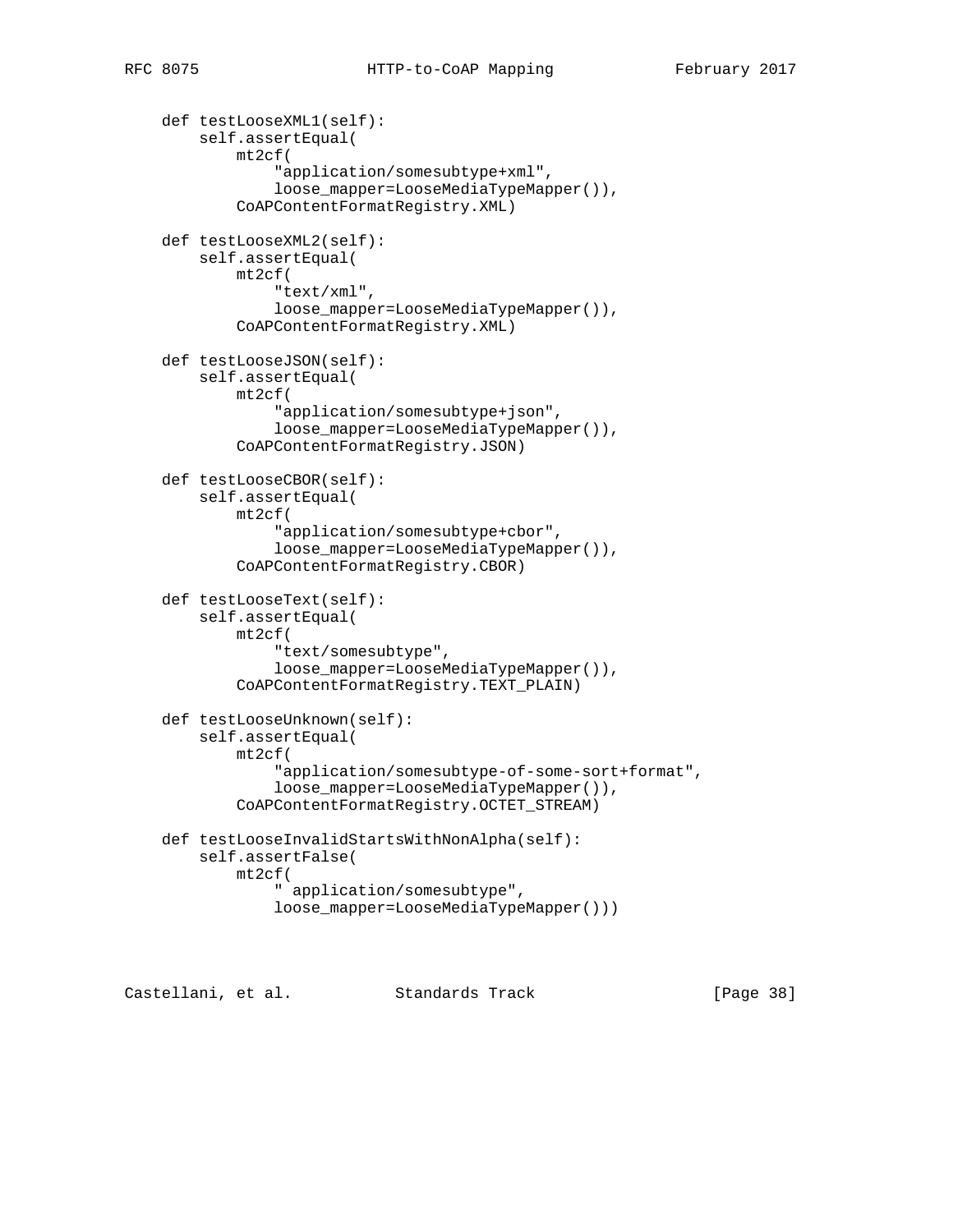```
 def testLooseXML1(self):
     self.assertEqual(
         mt2cf(
              "application/somesubtype+xml",
             loose_mapper=LooseMediaTypeMapper()),
         CoAPContentFormatRegistry.XML)
 def testLooseXML2(self):
     self.assertEqual(
         mt2cf(
              "text/xml",
             loose_mapper=LooseMediaTypeMapper()),
         CoAPContentFormatRegistry.XML)
 def testLooseJSON(self):
     self.assertEqual(
         mt2cf(
              "application/somesubtype+json",
             loose_mapper=LooseMediaTypeMapper()),
         CoAPContentFormatRegistry.JSON)
 def testLooseCBOR(self):
     self.assertEqual(
         mt2cf(
              "application/somesubtype+cbor",
             loose_mapper=LooseMediaTypeMapper()),
         CoAPContentFormatRegistry.CBOR)
 def testLooseText(self):
     self.assertEqual(
         mt2cf(
             "text/somesubtype",
             loose_mapper=LooseMediaTypeMapper()),
         CoAPContentFormatRegistry.TEXT_PLAIN)
 def testLooseUnknown(self):
     self.assertEqual(
         mt2cf(
              "application/somesubtype-of-some-sort+format",
             loose_mapper=LooseMediaTypeMapper()),
         CoAPContentFormatRegistry.OCTET_STREAM)
 def testLooseInvalidStartsWithNonAlpha(self):
     self.assertFalse(
         mt2cf(
              " application/somesubtype",
             loose_mapper=LooseMediaTypeMapper()))
```
Castellani, et al. Standards Track [Page 38]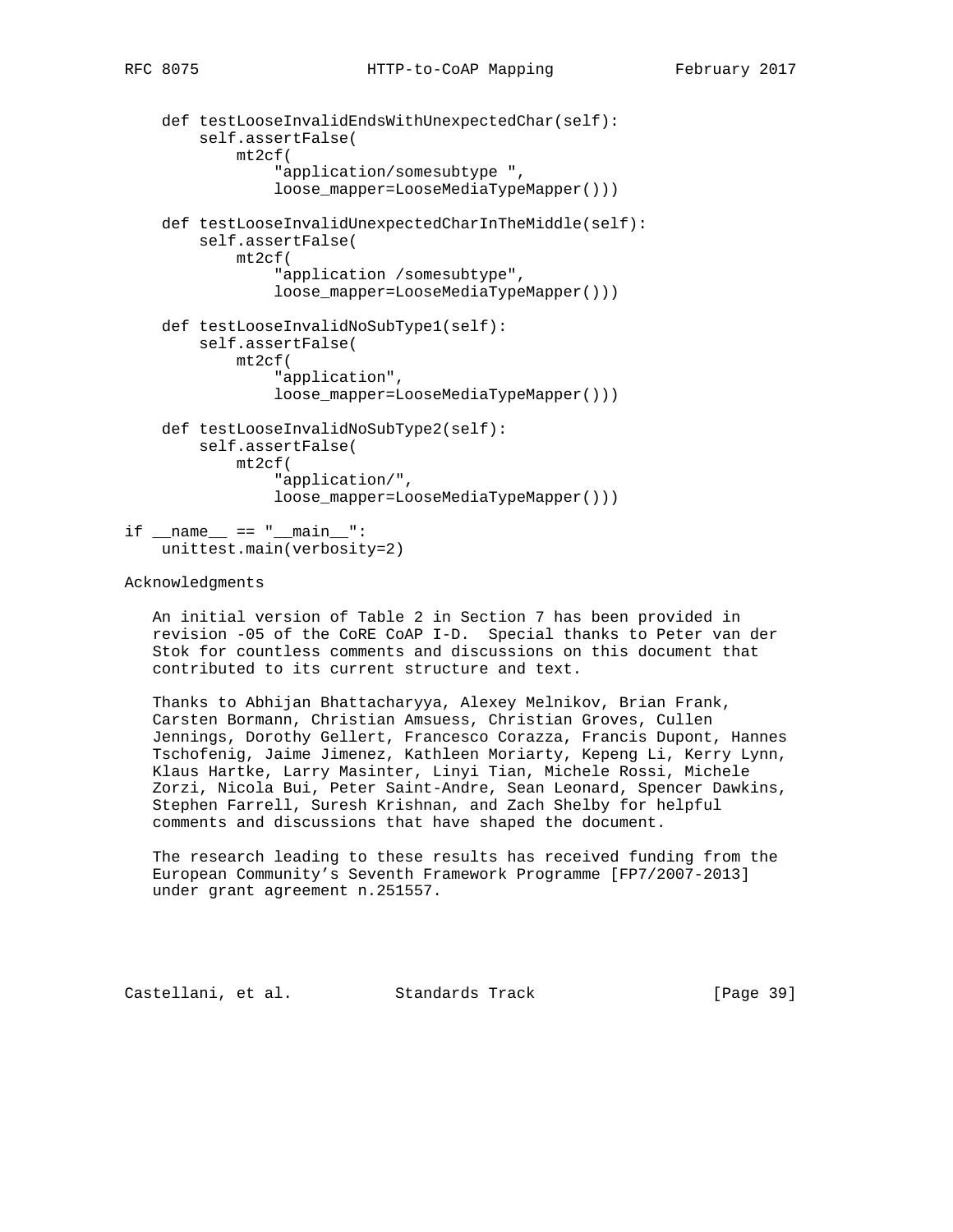```
 def testLooseInvalidEndsWithUnexpectedChar(self):
         self.assertFalse(
             mt2cf(
                  "application/somesubtype ",
                  loose_mapper=LooseMediaTypeMapper()))
     def testLooseInvalidUnexpectedCharInTheMiddle(self):
         self.assertFalse(
             mt2cf(
                  "application /somesubtype",
                  loose_mapper=LooseMediaTypeMapper()))
     def testLooseInvalidNoSubType1(self):
         self.assertFalse(
             mt2cf(
                  "application",
                  loose_mapper=LooseMediaTypeMapper()))
     def testLooseInvalidNoSubType2(self):
         self.assertFalse(
             mt2cf(
                  "application/",
                  loose_mapper=LooseMediaTypeMapper()))
if __name__ == " __main__":
```
unittest.main(verbosity=2)

### Acknowledgments

 An initial version of Table 2 in Section 7 has been provided in revision -05 of the CoRE CoAP I-D. Special thanks to Peter van der Stok for countless comments and discussions on this document that contributed to its current structure and text.

 Thanks to Abhijan Bhattacharyya, Alexey Melnikov, Brian Frank, Carsten Bormann, Christian Amsuess, Christian Groves, Cullen Jennings, Dorothy Gellert, Francesco Corazza, Francis Dupont, Hannes Tschofenig, Jaime Jimenez, Kathleen Moriarty, Kepeng Li, Kerry Lynn, Klaus Hartke, Larry Masinter, Linyi Tian, Michele Rossi, Michele Zorzi, Nicola Bui, Peter Saint-Andre, Sean Leonard, Spencer Dawkins, Stephen Farrell, Suresh Krishnan, and Zach Shelby for helpful comments and discussions that have shaped the document.

 The research leading to these results has received funding from the European Community's Seventh Framework Programme [FP7/2007-2013] under grant agreement n.251557.

Castellani, et al. Standards Track [Page 39]